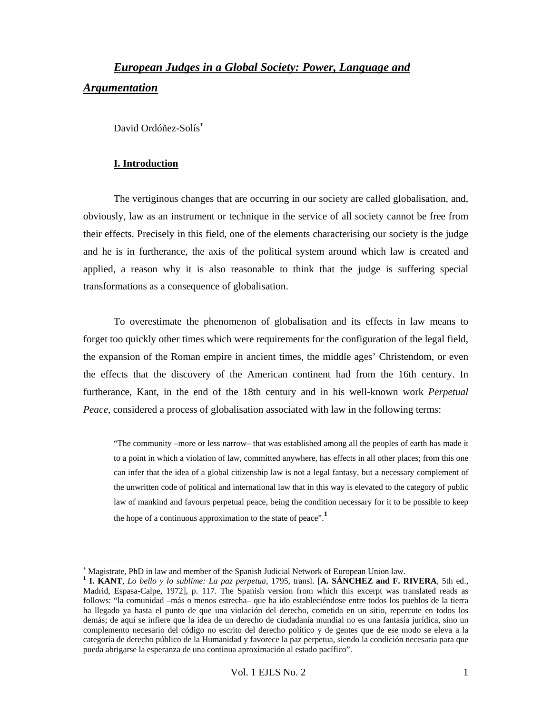# *European Judges in a Global Society: Power, Language and Argumentation*

David Ordóñez-Solís<sup>\*</sup>

#### **I. Introduction**

l

The vertiginous changes that are occurring in our society are called globalisation, and, obviously, law as an instrument or technique in the service of all society cannot be free from their effects. Precisely in this field, one of the elements characterising our society is the judge and he is in furtherance, the axis of the political system around which law is created and applied, a reason why it is also reasonable to think that the judge is suffering special transformations as a consequence of globalisation.

To overestimate the phenomenon of globalisation and its effects in law means to forget too quickly other times which were requirements for the configuration of the legal field, the expansion of the Roman empire in ancient times, the middle ages' Christendom, or even the effects that the discovery of the American continent had from the 16th century. In furtherance, Kant, in the end of the 18th century and in his well-known work *Perpetual Peace*, considered a process of globalisation associated with law in the following terms:

"The community –more or less narrow– that was established among all the peoples of earth has made it to a point in which a violation of law, committed anywhere, has effects in all other places; from this one can infer that the idea of a global citizenship law is not a legal fantasy, but a necessary complement of the unwritten code of political and international law that in this way is elevated to the category of public law of mankind and favours perpetual peace, being the condition necessary for it to be possible to keep the hope of a continuous approximation to the state of peace".**<sup>1</sup>**

<sup>∗</sup> Magistrate, PhD in law and member of the Spanish Judicial Network of European Union law.

**<sup>1</sup> I. KANT**, *Lo bello y lo sublime: La paz perpetua*, 1795, transl. [**A. SÁNCHEZ and F. RIVERA**, 5th ed., Madrid, Espasa-Calpe, 1972], p. 117. The Spanish version from which this excerpt was translated reads as follows: "la comunidad –más o menos estrecha– que ha ido estableciéndose entre todos los pueblos de la tierra ha llegado ya hasta el punto de que una violación del derecho, cometida en un sitio, repercute en todos los demás; de aquí se infiere que la idea de un derecho de ciudadanía mundial no es una fantasía jurídica, sino un complemento necesario del código no escrito del derecho político y de gentes que de ese modo se eleva a la categoría de derecho público de la Humanidad y favorece la paz perpetua, siendo la condición necesaria para que pueda abrigarse la esperanza de una continua aproximación al estado pacífico".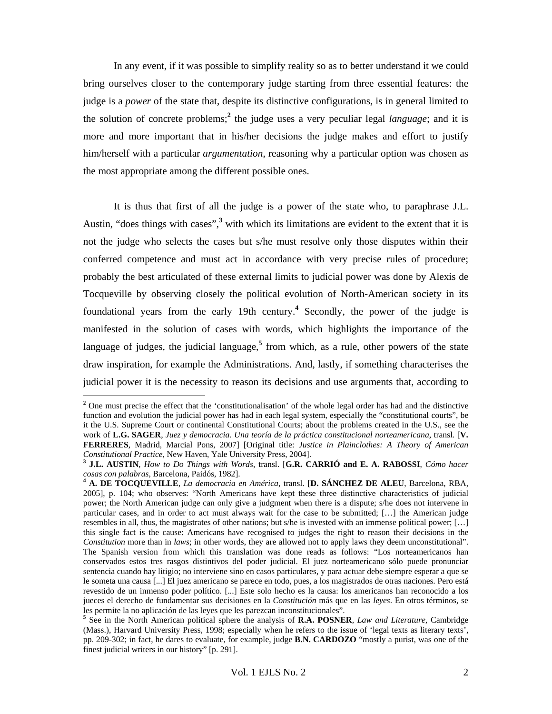In any event, if it was possible to simplify reality so as to better understand it we could bring ourselves closer to the contemporary judge starting from three essential features: the judge is a *power* of the state that, despite its distinctive configurations, is in general limited to the solution of concrete problems;**<sup>2</sup>** the judge uses a very peculiar legal *language*; and it is more and more important that in his/her decisions the judge makes and effort to justify him/herself with a particular *argumentation*, reasoning why a particular option was chosen as the most appropriate among the different possible ones.

It is thus that first of all the judge is a power of the state who, to paraphrase J.L. Austin, "does things with cases",<sup>3</sup> with which its limitations are evident to the extent that it is not the judge who selects the cases but s/he must resolve only those disputes within their conferred competence and must act in accordance with very precise rules of procedure; probably the best articulated of these external limits to judicial power was done by Alexis de Tocqueville by observing closely the political evolution of North-American society in its foundational years from the early 19th century.**<sup>4</sup>** Secondly, the power of the judge is manifested in the solution of cases with words, which highlights the importance of the language of judges, the judicial language,**<sup>5</sup>** from which, as a rule, other powers of the state draw inspiration, for example the Administrations. And, lastly, if something characterises the judicial power it is the necessity to reason its decisions and use arguments that, according to

<sup>&</sup>lt;sup>2</sup> One must precise the effect that the 'constitutionalisation' of the whole legal order has had and the distinctive function and evolution the judicial power has had in each legal system, especially the "constitutional courts", be it the U.S. Supreme Court or continental Constitutional Courts; about the problems created in the U.S., see the work of **L.G. SAGER**, *Juez y democracia. Una teoría de la práctica constitucional norteamericana*, transl. [**V. FERRERES**, Madrid, Marcial Pons, 2007] [Original title: *Justice in Plainclothes: A Theory of American* 

*Constitutional Practice*, New Haven, Yale University Press, 2004]. **<sup>3</sup> J.L. AUSTIN**, *How to Do Things with Words*, transl. [**G.R. CARRIÓ and E. A. RABOSSI**, *Cómo hacer* 

*cosas con palabras*, Barcelona, Paidós, 1982]. **<sup>4</sup> A. DE TOCQUEVILLE**, *La democracia en América*, transl. [**D. SÁNCHEZ DE ALEU**, Barcelona, RBA, 2005], p. 104; who observes: "North Americans have kept these three distinctive characteristics of judicial power; the North American judge can only give a judgment when there is a dispute; s/he does not intervene in particular cases, and in order to act must always wait for the case to be submitted; […] the American judge resembles in all, thus, the magistrates of other nations; but s/he is invested with an immense political power; […] this single fact is the cause: Americans have recognised to judges the right to reason their decisions in the *Constitution* more than in *laws*; in other words, they are allowed not to apply laws they deem unconstitutional". The Spanish version from which this translation was done reads as follows: "Los norteamericanos han conservados estos tres rasgos distintivos del poder judicial. El juez norteamericano sólo puede pronunciar sentencia cuando hay litigio; no interviene sino en casos particulares, y para actuar debe siempre esperar a que se le someta una causa [...] El juez americano se parece en todo, pues, a los magistrados de otras naciones. Pero está revestido de un inmenso poder político. [...] Este solo hecho es la causa: los americanos han reconocido a los jueces el derecho de fundamentar sus decisiones en la *Constitución* más que en las *leyes*. En otros términos, se les permite la no aplicación de las leyes que les parezcan inconstitucionales".

**<sup>5</sup>** See in the North American political sphere the analysis of **R.A. POSNER**, *Law and Literature*, Cambridge (Mass.), Harvard University Press, 1998; especially when he refers to the issue of 'legal texts as literary texts', pp. 209-302; in fact, he dares to evaluate, for example, judge **B.N. CARDOZO** "mostly a purist, was one of the finest judicial writers in our history" [p. 291].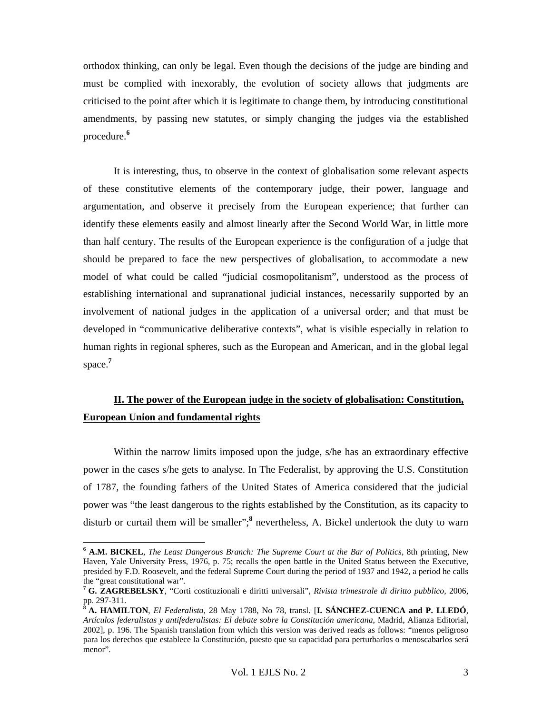orthodox thinking, can only be legal. Even though the decisions of the judge are binding and must be complied with inexorably, the evolution of society allows that judgments are criticised to the point after which it is legitimate to change them, by introducing constitutional amendments, by passing new statutes, or simply changing the judges via the established procedure.**<sup>6</sup>**

It is interesting, thus, to observe in the context of globalisation some relevant aspects of these constitutive elements of the contemporary judge, their power, language and argumentation, and observe it precisely from the European experience; that further can identify these elements easily and almost linearly after the Second World War, in little more than half century. The results of the European experience is the configuration of a judge that should be prepared to face the new perspectives of globalisation, to accommodate a new model of what could be called "judicial cosmopolitanism", understood as the process of establishing international and supranational judicial instances, necessarily supported by an involvement of national judges in the application of a universal order; and that must be developed in "communicative deliberative contexts", what is visible especially in relation to human rights in regional spheres, such as the European and American, and in the global legal space. **7**

### **II. The power of the European judge in the society of globalisation: Constitution, European Union and fundamental rights**

Within the narrow limits imposed upon the judge, s/he has an extraordinary effective power in the cases s/he gets to analyse. In The Federalist, by approving the U.S. Constitution of 1787, the founding fathers of the United States of America considered that the judicial power was "the least dangerous to the rights established by the Constitution, as its capacity to disturb or curtail them will be smaller";**<sup>8</sup>** nevertheless, A. Bickel undertook the duty to warn

**<sup>6</sup> A.M. BICKEL**, *The Least Dangerous Branch: The Supreme Court at the Bar of Politics*, 8th printing, New Haven, Yale University Press, 1976, p. 75; recalls the open battle in the United Status between the Executive, presided by F.D. Roosevelt, and the federal Supreme Court during the period of 1937 and 1942, a period he calls the "great constitutional war".

**<sup>7</sup> G. ZAGREBELSKY**, "Corti costituzionali e diritti universali", *Rivista trimestrale di diritto pubblico,* 2006, pp. 297-311.

**<sup>8</sup> A. HAMILTON**, *El Federalista*, 28 May 1788, No 78, transl. [**I. SÁNCHEZ-CUENCA and P. LLEDÓ**, *Artículos federalistas y antifederalistas: El debate sobre la Constitución americana*, Madrid, Alianza Editorial, 2002], p. 196. The Spanish translation from which this version was derived reads as follows: "menos peligroso para los derechos que establece la Constitución, puesto que su capacidad para perturbarlos o menoscabarlos será menor".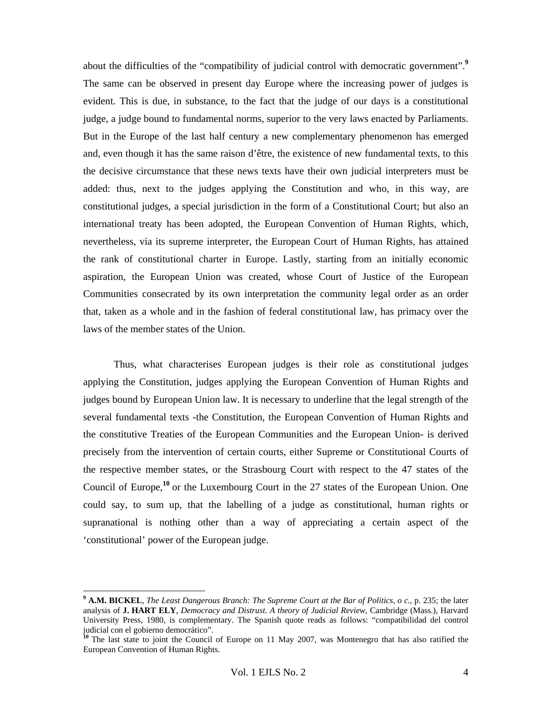about the difficulties of the "compatibility of judicial control with democratic government".**<sup>9</sup>** The same can be observed in present day Europe where the increasing power of judges is evident. This is due, in substance, to the fact that the judge of our days is a constitutional judge, a judge bound to fundamental norms, superior to the very laws enacted by Parliaments. But in the Europe of the last half century a new complementary phenomenon has emerged and, even though it has the same raison d'être, the existence of new fundamental texts, to this the decisive circumstance that these news texts have their own judicial interpreters must be added: thus, next to the judges applying the Constitution and who, in this way, are constitutional judges, a special jurisdiction in the form of a Constitutional Court; but also an international treaty has been adopted, the European Convention of Human Rights, which, nevertheless, via its supreme interpreter, the European Court of Human Rights, has attained the rank of constitutional charter in Europe. Lastly, starting from an initially economic aspiration, the European Union was created, whose Court of Justice of the European Communities consecrated by its own interpretation the community legal order as an order that, taken as a whole and in the fashion of federal constitutional law, has primacy over the laws of the member states of the Union.

Thus, what characterises European judges is their role as constitutional judges applying the Constitution, judges applying the European Convention of Human Rights and judges bound by European Union law. It is necessary to underline that the legal strength of the several fundamental texts -the Constitution, the European Convention of Human Rights and the constitutive Treaties of the European Communities and the European Union- is derived precisely from the intervention of certain courts, either Supreme or Constitutional Courts of the respective member states, or the Strasbourg Court with respect to the 47 states of the Council of Europe,<sup>10</sup> or the Luxembourg Court in the 27 states of the European Union. One could say, to sum up, that the labelling of a judge as constitutional, human rights or supranational is nothing other than a way of appreciating a certain aspect of the 'constitutional' power of the European judge.

 $\overline{a}$ 

**<sup>9</sup> A.M. BICKEL**, *The Least Dangerous Branch: The Supreme Court at the Bar of Politics*, *o c.*, p. 235; the later analysis of **J. HART ELY**, *Democracy and Distrust. A theory of Judicial Review*, Cambridge (Mass.), Harvard University Press, 1980, is complementary. The Spanish quote reads as follows: "compatibilidad del control judicial con el gobierno democrático".

<sup>&</sup>lt;sup>10</sup> The last state to joint the Council of Europe on 11 May 2007, was Montenegro that has also ratified the European Convention of Human Rights.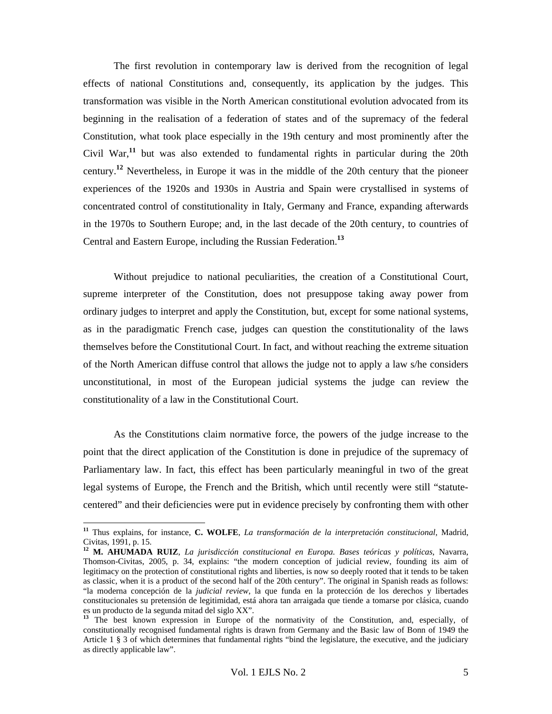The first revolution in contemporary law is derived from the recognition of legal effects of national Constitutions and, consequently, its application by the judges. This transformation was visible in the North American constitutional evolution advocated from its beginning in the realisation of a federation of states and of the supremacy of the federal Constitution, what took place especially in the 19th century and most prominently after the Civil War,**<sup>11</sup>** but was also extended to fundamental rights in particular during the 20th century.**<sup>12</sup>** Nevertheless, in Europe it was in the middle of the 20th century that the pioneer experiences of the 1920s and 1930s in Austria and Spain were crystallised in systems of concentrated control of constitutionality in Italy, Germany and France, expanding afterwards in the 1970s to Southern Europe; and, in the last decade of the 20th century, to countries of Central and Eastern Europe, including the Russian Federation.**<sup>13</sup>**

Without prejudice to national peculiarities, the creation of a Constitutional Court, supreme interpreter of the Constitution, does not presuppose taking away power from ordinary judges to interpret and apply the Constitution, but, except for some national systems, as in the paradigmatic French case, judges can question the constitutionality of the laws themselves before the Constitutional Court. In fact, and without reaching the extreme situation of the North American diffuse control that allows the judge not to apply a law s/he considers unconstitutional, in most of the European judicial systems the judge can review the constitutionality of a law in the Constitutional Court.

As the Constitutions claim normative force, the powers of the judge increase to the point that the direct application of the Constitution is done in prejudice of the supremacy of Parliamentary law. In fact, this effect has been particularly meaningful in two of the great legal systems of Europe, the French and the British, which until recently were still "statutecentered" and their deficiencies were put in evidence precisely by confronting them with other

 $\overline{a}$ 

**<sup>11</sup>** Thus explains, for instance, **C. WOLFE**, *La transformación de la interpretación constitucional*, Madrid, Civitas, 1991, p. 15.

**<sup>12</sup> M. AHUMADA RUIZ**, *La jurisdicción constitucional en Europa. Bases teóricas y políticas*, Navarra, Thomson-Civitas, 2005, p. 34, explains: "the modern conception of judicial review, founding its aim of legitimacy on the protection of constitutional rights and liberties, is now so deeply rooted that it tends to be taken as classic, when it is a product of the second half of the 20th century". The original in Spanish reads as follows: "la moderna concepción de la *judicial review*, la que funda en la protección de los derechos y libertades constitucionales su pretensión de legitimidad, está ahora tan arraigada que tiende a tomarse por clásica, cuando es un producto de la segunda mitad del siglo XX".

<sup>&</sup>lt;sup>13</sup> The best known expression in Europe of the normativity of the Constitution, and, especially, of constitutionally recognised fundamental rights is drawn from Germany and the Basic law of Bonn of 1949 the Article 1 § 3 of which determines that fundamental rights "bind the legislature, the executive, and the judiciary as directly applicable law".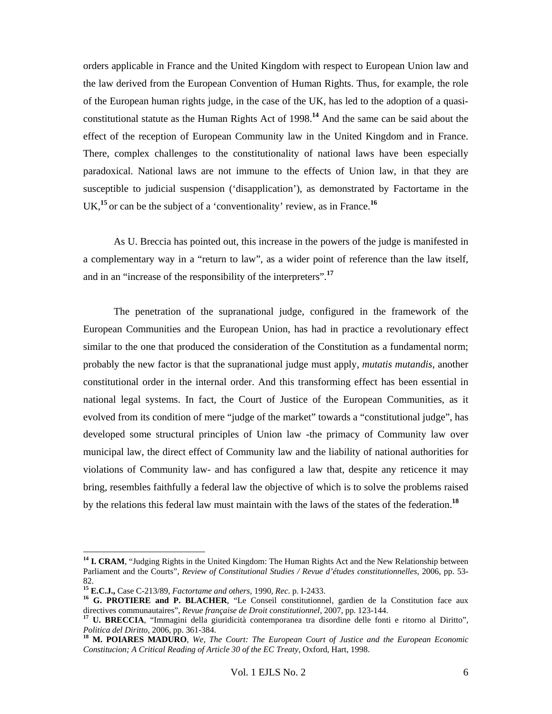orders applicable in France and the United Kingdom with respect to European Union law and the law derived from the European Convention of Human Rights. Thus, for example, the role of the European human rights judge, in the case of the UK, has led to the adoption of a quasiconstitutional statute as the Human Rights Act of 1998.**<sup>14</sup>** And the same can be said about the effect of the reception of European Community law in the United Kingdom and in France. There, complex challenges to the constitutionality of national laws have been especially paradoxical. National laws are not immune to the effects of Union law, in that they are susceptible to judicial suspension ('disapplication'), as demonstrated by Factortame in the UK,**<sup>15</sup>**or can be the subject of a 'conventionality' review, as in France.**<sup>16</sup>**

As U. Breccia has pointed out, this increase in the powers of the judge is manifested in a complementary way in a "return to law", as a wider point of reference than the law itself, and in an "increase of the responsibility of the interpreters".**<sup>17</sup>**

The penetration of the supranational judge, configured in the framework of the European Communities and the European Union, has had in practice a revolutionary effect similar to the one that produced the consideration of the Constitution as a fundamental norm; probably the new factor is that the supranational judge must apply, *mutatis mutandis*, another constitutional order in the internal order. And this transforming effect has been essential in national legal systems. In fact, the Court of Justice of the European Communities, as it evolved from its condition of mere "judge of the market" towards a "constitutional judge", has developed some structural principles of Union law -the primacy of Community law over municipal law, the direct effect of Community law and the liability of national authorities for violations of Community law- and has configured a law that, despite any reticence it may bring, resembles faithfully a federal law the objective of which is to solve the problems raised by the relations this federal law must maintain with the laws of the states of the federation.**<sup>18</sup>**

<sup>&</sup>lt;sup>14</sup> **I. CRAM**, "Judging Rights in the United Kingdom: The Human Rights Act and the New Relationship between Parliament and the Courts", *Review of Constitutional Studies / Revue d'études constitutionnelles,* 2006, pp. 53-

<sup>82.&</sup>lt;br>
<sup>15</sup> **E.C.J.,** Case C-213/89, *Factortame and others*, 1990, *Rec.* p. I-2433.

<sup>&</sup>lt;sup>16</sup> **G. PROTIERE and P. BLACHER**, "Le Conseil constitutionnel, gardien de la Constitution face aux directives communautaires", *Revue française de Droit constitutionnel*, 2007, pp. 123-144.

<sup>&</sup>lt;sup>17</sup> U. BRECCIA, "Immagini della giuridicità contemporanea tra disordine delle fonti e ritorno al Diritto", *Politica del Diritto*, 2006, pp. 361-384. **<sup>18</sup> M. POIARES MADURO**, *We, The Court: The European Court of Justice and the European Economic* 

*Constitucion; A Critical Reading of Article 30 of the EC Treaty*, Oxford, Hart, 1998.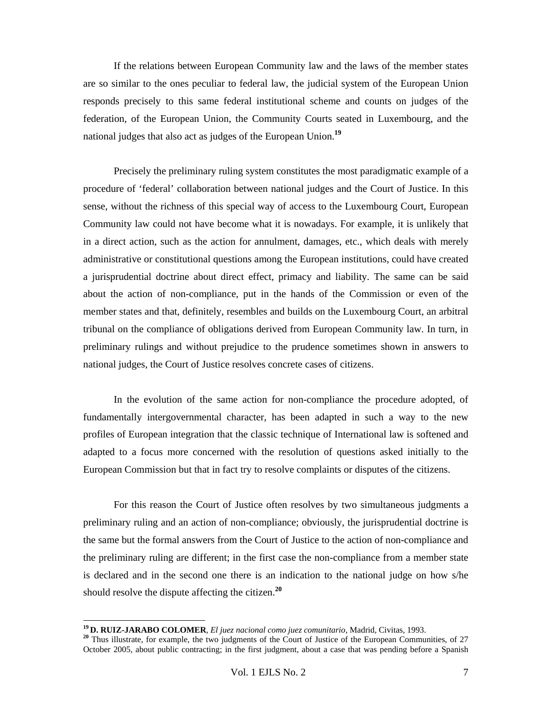If the relations between European Community law and the laws of the member states are so similar to the ones peculiar to federal law, the judicial system of the European Union responds precisely to this same federal institutional scheme and counts on judges of the federation, of the European Union, the Community Courts seated in Luxembourg, and the national judges that also act as judges of the European Union.**<sup>19</sup>**

Precisely the preliminary ruling system constitutes the most paradigmatic example of a procedure of 'federal' collaboration between national judges and the Court of Justice. In this sense, without the richness of this special way of access to the Luxembourg Court, European Community law could not have become what it is nowadays. For example, it is unlikely that in a direct action, such as the action for annulment, damages, etc., which deals with merely administrative or constitutional questions among the European institutions, could have created a jurisprudential doctrine about direct effect, primacy and liability. The same can be said about the action of non-compliance, put in the hands of the Commission or even of the member states and that, definitely, resembles and builds on the Luxembourg Court, an arbitral tribunal on the compliance of obligations derived from European Community law. In turn, in preliminary rulings and without prejudice to the prudence sometimes shown in answers to national judges, the Court of Justice resolves concrete cases of citizens.

In the evolution of the same action for non-compliance the procedure adopted, of fundamentally intergovernmental character, has been adapted in such a way to the new profiles of European integration that the classic technique of International law is softened and adapted to a focus more concerned with the resolution of questions asked initially to the European Commission but that in fact try to resolve complaints or disputes of the citizens.

For this reason the Court of Justice often resolves by two simultaneous judgments a preliminary ruling and an action of non-compliance; obviously, the jurisprudential doctrine is the same but the formal answers from the Court of Justice to the action of non-compliance and the preliminary ruling are different; in the first case the non-compliance from a member state is declared and in the second one there is an indication to the national judge on how s/he should resolve the dispute affecting the citizen.**<sup>20</sup>**

<sup>&</sup>lt;sup>19</sup> D. RUIZ-JARABO COLOMER, *El juez nacional como juez comunitario*, Madrid, Civitas, 1993.<br><sup>20</sup> Thus illustrate, for example, the two judgments of the Court of Justice of the European Communities, of 27 October 2005, about public contracting; in the first judgment, about a case that was pending before a Spanish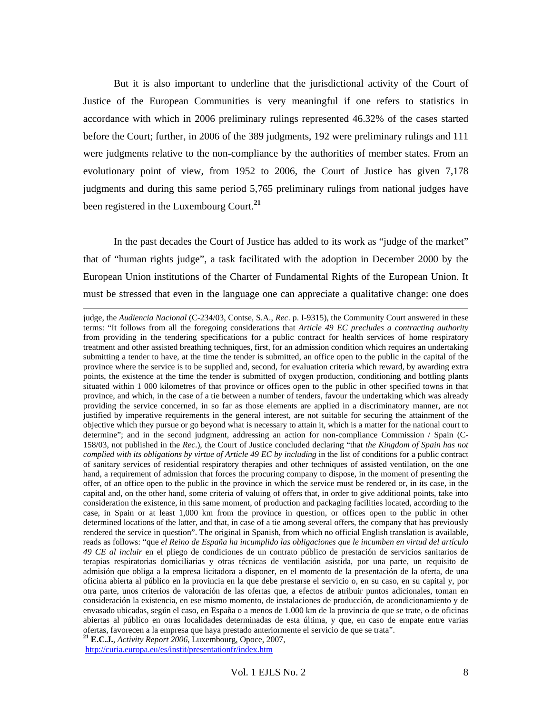But it is also important to underline that the jurisdictional activity of the Court of Justice of the European Communities is very meaningful if one refers to statistics in accordance with which in 2006 preliminary rulings represented 46.32% of the cases started before the Court; further, in 2006 of the 389 judgments, 192 were preliminary rulings and 111 were judgments relative to the non-compliance by the authorities of member states. From an evolutionary point of view, from 1952 to 2006, the Court of Justice has given 7,178 judgments and during this same period 5,765 preliminary rulings from national judges have been registered in the Luxembourg Court.**<sup>21</sup>**

In the past decades the Court of Justice has added to its work as "judge of the market" that of "human rights judge", a task facilitated with the adoption in December 2000 by the European Union institutions of the Charter of Fundamental Rights of the European Union. It must be stressed that even in the language one can appreciate a qualitative change: one does

judge, the *Audiencia Nacional* (C-234/03, Contse, S.A., *Rec*. p. I-9315), the Community Court answered in these terms: "It follows from all the foregoing considerations that *Article 49 EC precludes a contracting authority* from providing in the tendering specifications for a public contract for health services of home respiratory treatment and other assisted breathing techniques, first, for an admission condition which requires an undertaking submitting a tender to have, at the time the tender is submitted, an office open to the public in the capital of the province where the service is to be supplied and, second, for evaluation criteria which reward, by awarding extra points, the existence at the time the tender is submitted of oxygen production, conditioning and bottling plants situated within 1 000 kilometres of that province or offices open to the public in other specified towns in that province, and which, in the case of a tie between a number of tenders, favour the undertaking which was already providing the service concerned, in so far as those elements are applied in a discriminatory manner, are not justified by imperative requirements in the general interest, are not suitable for securing the attainment of the objective which they pursue or go beyond what is necessary to attain it, which is a matter for the national court to determine"; and in the second judgment, addressing an action for non-compliance Commission / Spain (C-158/03, not published in the *Rec*.), the Court of Justice concluded declaring "that *the Kingdom of Spain has not complied with its obligations by virtue of Article 49 EC by including* in the list of conditions for a public contract of sanitary services of residential respiratory therapies and other techniques of assisted ventilation, on the one hand, a requirement of admission that forces the procuring company to dispose, in the moment of presenting the offer, of an office open to the public in the province in which the service must be rendered or, in its case, in the capital and, on the other hand, some criteria of valuing of offers that, in order to give additional points, take into consideration the existence, in this same moment, of production and packaging facilities located, according to the case, in Spain or at least 1,000 km from the province in question, or offices open to the public in other determined locations of the latter, and that, in case of a tie among several offers, the company that has previously rendered the service in question". The original in Spanish, from which no official English translation is available, reads as follows: "que *el Reino de España ha incumplido las obligaciones que le incumben en virtud del artículo 49 CE al incluir* en el pliego de condiciones de un contrato público de prestación de servicios sanitarios de terapias respiratorias domiciliarias y otras técnicas de ventilación asistida, por una parte, un requisito de admisión que obliga a la empresa licitadora a disponer, en el momento de la presentación de la oferta, de una oficina abierta al público en la provincia en la que debe prestarse el servicio o, en su caso, en su capital y, por otra parte, unos criterios de valoración de las ofertas que, a efectos de atribuir puntos adicionales, toman en consideración la existencia, en ese mismo momento, de instalaciones de producción, de acondicionamiento y de envasado ubicadas, según el caso, en España o a menos de 1.000 km de la provincia de que se trate, o de oficinas abiertas al público en otras localidades determinadas de esta última, y que, en caso de empate entre varias ofertas, favorecen a la empresa que haya prestado anteriormente el servicio de que se trata".

**<sup>21</sup> E.C.J.**, *Activity Report 2006*, Luxembourg, Opoce, 2007,

http://curia.europa.eu/es/instit/presentationfr/index.htm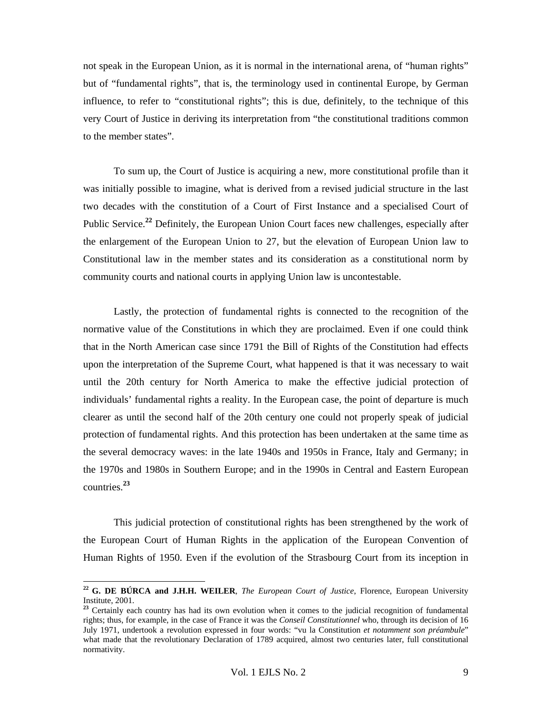not speak in the European Union, as it is normal in the international arena, of "human rights" but of "fundamental rights", that is, the terminology used in continental Europe, by German influence, to refer to "constitutional rights"; this is due, definitely, to the technique of this very Court of Justice in deriving its interpretation from "the constitutional traditions common to the member states".

To sum up, the Court of Justice is acquiring a new, more constitutional profile than it was initially possible to imagine, what is derived from a revised judicial structure in the last two decades with the constitution of a Court of First Instance and a specialised Court of Public Service.**<sup>22</sup>** Definitely, the European Union Court faces new challenges, especially after the enlargement of the European Union to 27, but the elevation of European Union law to Constitutional law in the member states and its consideration as a constitutional norm by community courts and national courts in applying Union law is uncontestable.

Lastly, the protection of fundamental rights is connected to the recognition of the normative value of the Constitutions in which they are proclaimed. Even if one could think that in the North American case since 1791 the Bill of Rights of the Constitution had effects upon the interpretation of the Supreme Court, what happened is that it was necessary to wait until the 20th century for North America to make the effective judicial protection of individuals' fundamental rights a reality. In the European case, the point of departure is much clearer as until the second half of the 20th century one could not properly speak of judicial protection of fundamental rights. And this protection has been undertaken at the same time as the several democracy waves: in the late 1940s and 1950s in France, Italy and Germany; in the 1970s and 1980s in Southern Europe; and in the 1990s in Central and Eastern European countries.**<sup>23</sup>**

This judicial protection of constitutional rights has been strengthened by the work of the European Court of Human Rights in the application of the European Convention of Human Rights of 1950. Even if the evolution of the Strasbourg Court from its inception in

 $\overline{a}$ 

**<sup>22</sup> G. DE BÚRCA and J.H.H. WEILER**, *The European Court of Justice*, Florence, European University Institute, 2001.

<sup>&</sup>lt;sup>23</sup> Certainly each country has had its own evolution when it comes to the judicial recognition of fundamental rights; thus, for example, in the case of France it was the *Conseil Constitutionnel* who, through its decision of 16 July 1971, undertook a revolution expressed in four words: "vu la Constitution *et notamment son préambule*" what made that the revolutionary Declaration of 1789 acquired, almost two centuries later, full constitutional normativity.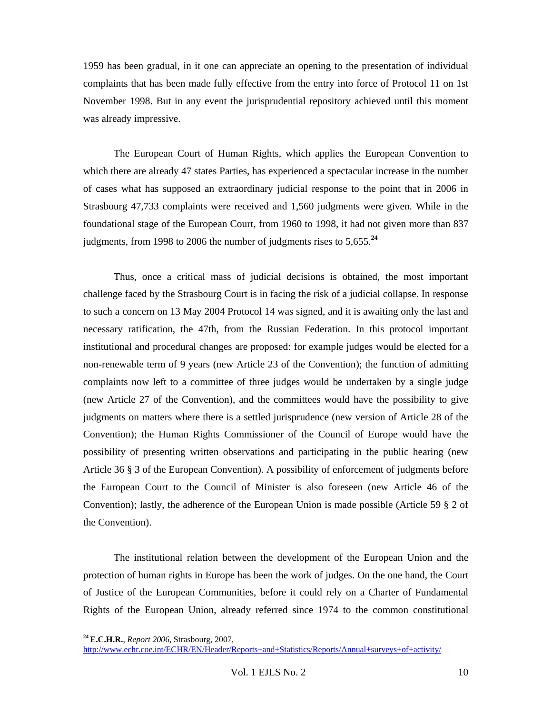1959 has been gradual, in it one can appreciate an opening to the presentation of individual complaints that has been made fully effective from the entry into force of Protocol 11 on 1st November 1998. But in any event the jurisprudential repository achieved until this moment was already impressive.

The European Court of Human Rights, which applies the European Convention to which there are already 47 states Parties, has experienced a spectacular increase in the number of cases what has supposed an extraordinary judicial response to the point that in 2006 in Strasbourg 47,733 complaints were received and 1,560 judgments were given. While in the foundational stage of the European Court, from 1960 to 1998, it had not given more than 837 judgments, from 1998 to 2006 the number of judgments rises to 5,655.**<sup>24</sup>**

Thus, once a critical mass of judicial decisions is obtained, the most important challenge faced by the Strasbourg Court is in facing the risk of a judicial collapse. In response to such a concern on 13 May 2004 Protocol 14 was signed, and it is awaiting only the last and necessary ratification, the 47th, from the Russian Federation. In this protocol important institutional and procedural changes are proposed: for example judges would be elected for a non-renewable term of 9 years (new Article 23 of the Convention); the function of admitting complaints now left to a committee of three judges would be undertaken by a single judge (new Article 27 of the Convention), and the committees would have the possibility to give judgments on matters where there is a settled jurisprudence (new version of Article 28 of the Convention); the Human Rights Commissioner of the Council of Europe would have the possibility of presenting written observations and participating in the public hearing (new Article 36 § 3 of the European Convention). A possibility of enforcement of judgments before the European Court to the Council of Minister is also foreseen (new Article 46 of the Convention); lastly, the adherence of the European Union is made possible (Article 59 § 2 of the Convention).

The institutional relation between the development of the European Union and the protection of human rights in Europe has been the work of judges. On the one hand, the Court of Justice of the European Communities, before it could rely on a Charter of Fundamental Rights of the European Union, already referred since 1974 to the common constitutional

**<sup>24</sup> E.C.H.R.**, *Report 2006*, Strasbourg, 2007,

http://www.echr.coe.int/ECHR/EN/Header/Reports+and+Statistics/Reports/Annual+surveys+of+activity/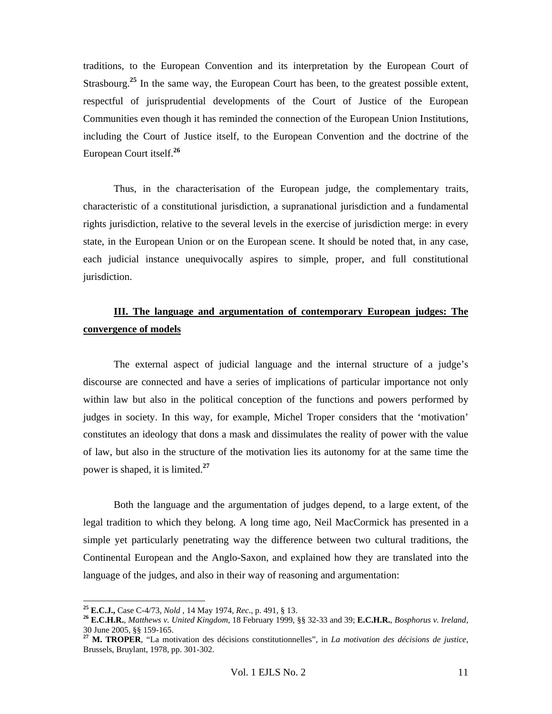traditions, to the European Convention and its interpretation by the European Court of Strasbourg.<sup>25</sup> In the same way, the European Court has been, to the greatest possible extent, respectful of jurisprudential developments of the Court of Justice of the European Communities even though it has reminded the connection of the European Union Institutions, including the Court of Justice itself, to the European Convention and the doctrine of the European Court itself.**<sup>26</sup>**

Thus, in the characterisation of the European judge, the complementary traits, characteristic of a constitutional jurisdiction, a supranational jurisdiction and a fundamental rights jurisdiction, relative to the several levels in the exercise of jurisdiction merge: in every state, in the European Union or on the European scene. It should be noted that, in any case, each judicial instance unequivocally aspires to simple, proper, and full constitutional jurisdiction.

### **III. The language and argumentation of contemporary European judges: The convergence of models**

The external aspect of judicial language and the internal structure of a judge's discourse are connected and have a series of implications of particular importance not only within law but also in the political conception of the functions and powers performed by judges in society. In this way, for example, Michel Troper considers that the 'motivation' constitutes an ideology that dons a mask and dissimulates the reality of power with the value of law, but also in the structure of the motivation lies its autonomy for at the same time the power is shaped, it is limited.**<sup>27</sup>**

Both the language and the argumentation of judges depend, to a large extent, of the legal tradition to which they belong. A long time ago, Neil MacCormick has presented in a simple yet particularly penetrating way the difference between two cultural traditions, the Continental European and the Anglo-Saxon, and explained how they are translated into the language of the judges, and also in their way of reasoning and argumentation:

<sup>&</sup>lt;sup>25</sup> E.C.J., Case C-4/73, *Nold*, 14 May 1974, *Rec.*, p. 491, § 13.

<sup>&</sup>lt;sup>26</sup> E.C.H.R., Matthews v. United Kingdom, 18 February 1999, §§ 32-33 and 39; E.C.H.R., Bosphorus v. Ireland, 30 June 2005, §§ 159-165.

**<sup>27</sup> M. TROPER**, "La motivation des décisions constitutionnelles", in *La motivation des décisions de justice*, Brussels, Bruylant, 1978, pp. 301-302.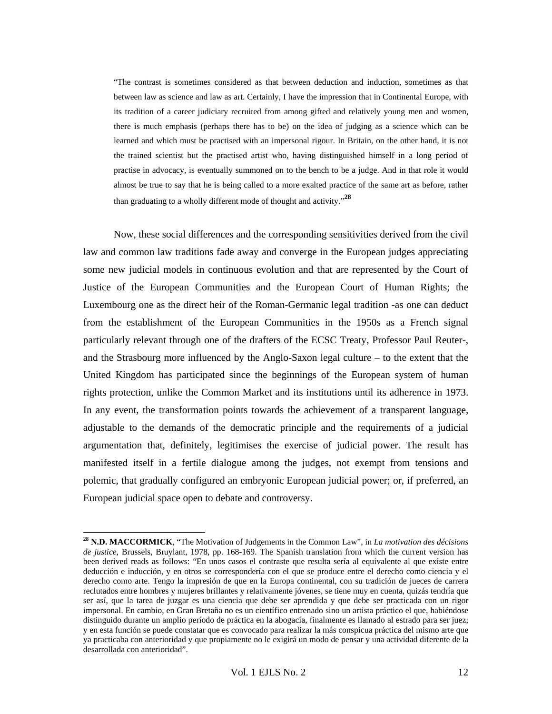"The contrast is sometimes considered as that between deduction and induction, sometimes as that between law as science and law as art. Certainly, I have the impression that in Continental Europe, with its tradition of a career judiciary recruited from among gifted and relatively young men and women, there is much emphasis (perhaps there has to be) on the idea of judging as a science which can be learned and which must be practised with an impersonal rigour. In Britain, on the other hand, it is not the trained scientist but the practised artist who, having distinguished himself in a long period of practise in advocacy, is eventually summoned on to the bench to be a judge. And in that role it would almost be true to say that he is being called to a more exalted practice of the same art as before, rather than graduating to a wholly different mode of thought and activity."**<sup>28</sup>**

Now, these social differences and the corresponding sensitivities derived from the civil law and common law traditions fade away and converge in the European judges appreciating some new judicial models in continuous evolution and that are represented by the Court of Justice of the European Communities and the European Court of Human Rights; the Luxembourg one as the direct heir of the Roman-Germanic legal tradition -as one can deduct from the establishment of the European Communities in the 1950s as a French signal particularly relevant through one of the drafters of the ECSC Treaty, Professor Paul Reuter-, and the Strasbourg more influenced by the Anglo-Saxon legal culture – to the extent that the United Kingdom has participated since the beginnings of the European system of human rights protection, unlike the Common Market and its institutions until its adherence in 1973. In any event, the transformation points towards the achievement of a transparent language, adjustable to the demands of the democratic principle and the requirements of a judicial argumentation that, definitely, legitimises the exercise of judicial power. The result has manifested itself in a fertile dialogue among the judges, not exempt from tensions and polemic, that gradually configured an embryonic European judicial power; or, if preferred, an European judicial space open to debate and controversy.

**<sup>28</sup> N.D. MACCORMICK**, "The Motivation of Judgements in the Common Law", in *La motivation des décisions de justice*, Brussels, Bruylant, 1978, pp. 168-169. The Spanish translation from which the current version has been derived reads as follows: "En unos casos el contraste que resulta sería al equivalente al que existe entre deducción e inducción, y en otros se correspondería con el que se produce entre el derecho como ciencia y el derecho como arte. Tengo la impresión de que en la Europa continental, con su tradición de jueces de carrera reclutados entre hombres y mujeres brillantes y relativamente jóvenes, se tiene muy en cuenta, quizás tendría que ser así, que la tarea de juzgar es una ciencia que debe ser aprendida y que debe ser practicada con un rigor impersonal. En cambio, en Gran Bretaña no es un científico entrenado sino un artista práctico el que, habiéndose distinguido durante un amplio período de práctica en la abogacía, finalmente es llamado al estrado para ser juez; y en esta función se puede constatar que es convocado para realizar la más conspicua práctica del mismo arte que ya practicaba con anterioridad y que propiamente no le exigirá un modo de pensar y una actividad diferente de la desarrollada con anterioridad".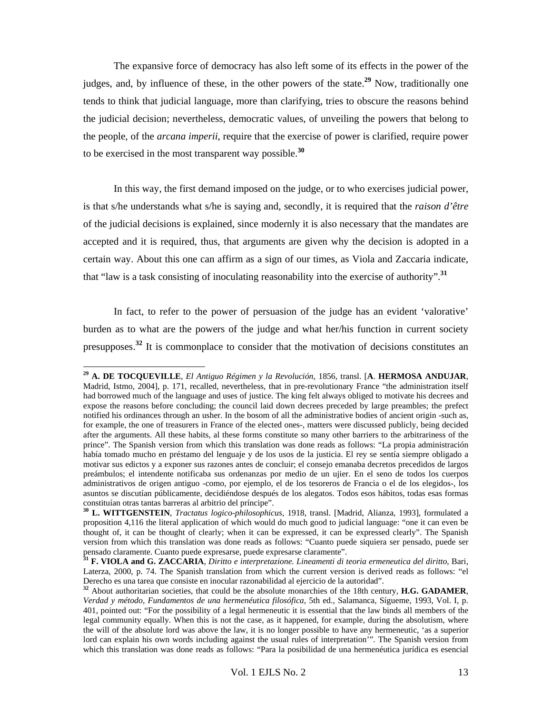The expansive force of democracy has also left some of its effects in the power of the judges, and, by influence of these, in the other powers of the state.**<sup>29</sup>** Now, traditionally one tends to think that judicial language, more than clarifying, tries to obscure the reasons behind the judicial decision; nevertheless, democratic values, of unveiling the powers that belong to the people, of the *arcana imperii*, require that the exercise of power is clarified, require power to be exercised in the most transparent way possible.**<sup>30</sup>**

In this way, the first demand imposed on the judge, or to who exercises judicial power, is that s/he understands what s/he is saying and, secondly, it is required that the *raison d'être* of the judicial decisions is explained, since modernly it is also necessary that the mandates are accepted and it is required, thus, that arguments are given why the decision is adopted in a certain way. About this one can affirm as a sign of our times, as Viola and Zaccaria indicate, that "law is a task consisting of inoculating reasonability into the exercise of authority".**<sup>31</sup>**

In fact, to refer to the power of persuasion of the judge has an evident 'valorative' burden as to what are the powers of the judge and what her/his function in current society presupposes.**<sup>32</sup>** It is commonplace to consider that the motivation of decisions constitutes an

**<sup>29</sup> A. DE TOCQUEVILLE**, *El Antiguo Régimen y la Revolución*, 1856, transl. [**A**. **HERMOSA ANDUJAR**, Madrid, Istmo, 2004], p. 171, recalled, nevertheless, that in pre-revolutionary France "the administration itself had borrowed much of the language and uses of justice. The king felt always obliged to motivate his decrees and expose the reasons before concluding; the council laid down decrees preceded by large preambles; the prefect notified his ordinances through an usher. In the bosom of all the administrative bodies of ancient origin -such as, for example, the one of treasurers in France of the elected ones-, matters were discussed publicly, being decided after the arguments. All these habits, al these forms constitute so many other barriers to the arbitrariness of the prince". The Spanish version from which this translation was done reads as follows: "La propia administración había tomado mucho en préstamo del lenguaje y de los usos de la justicia. El rey se sentía siempre obligado a motivar sus edictos y a exponer sus razones antes de concluir; el consejo emanaba decretos precedidos de largos preámbulos; el intendente notificaba sus ordenanzas por medio de un ujier. En el seno de todos los cuerpos administrativos de origen antiguo -como, por ejemplo, el de los tesoreros de Francia o el de los elegidos-, los asuntos se discutían públicamente, decidiéndose después de los alegatos. Todos esos hábitos, todas esas formas constituían otras tantas barreras al arbitrio del príncipe".

**<sup>30</sup> L. WITTGENSTEIN**, *Tractatus logico-philosophicus*, 1918, transl. [Madrid, Alianza, 1993], formulated a proposition 4,116 the literal application of which would do much good to judicial language: "one it can even be thought of, it can be thought of clearly; when it can be expressed, it can be expressed clearly". The Spanish version from which this translation was done reads as follows: "Cuanto puede siquiera ser pensado, puede ser pensado claramente. Cuanto puede expresarse, puede expresarse claramente".

**<sup>31</sup> F. VIOLA and G. ZACCARIA**, *Diritto e interpretazione. Lineamenti di teoria ermeneutica del diritto*, Bari, Laterza, 2000, p. 74. The Spanish translation from which the current version is derived reads as follows: "el Derecho es una tarea que consiste en inocular razonabilidad al ejercicio de la autoridad".

**<sup>32</sup>** About authoritarian societies, that could be the absolute monarchies of the 18th century, **H.G. GADAMER**, *Verdad y método, Fundamentos de una hermenéutica filosófica*, 5th ed., Salamanca, Sígueme, 1993, Vol. I, p. 401, pointed out: "For the possibility of a legal hermeneutic it is essential that the law binds all members of the legal community equally. When this is not the case, as it happened, for example, during the absolutism, where the will of the absolute lord was above the law, it is no longer possible to have any hermeneutic, 'as a superior lord can explain his own words including against the usual rules of interpretation'". The Spanish version from which this translation was done reads as follows: "Para la posibilidad de una hermenéutica jurídica es esencial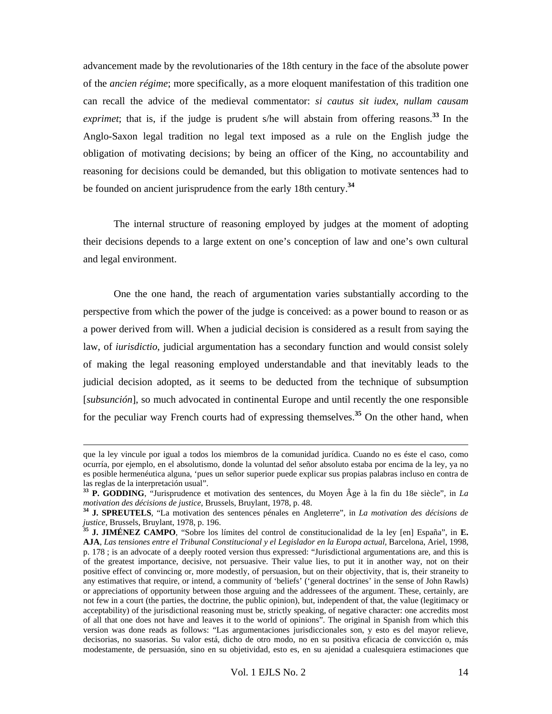advancement made by the revolutionaries of the 18th century in the face of the absolute power of the *ancien régime*; more specifically, as a more eloquent manifestation of this tradition one can recall the advice of the medieval commentator: *si cautus sit iudex, nullam causam*  exprimet; that is, if the judge is prudent s/he will abstain from offering reasons.<sup>33</sup> In the Anglo-Saxon legal tradition no legal text imposed as a rule on the English judge the obligation of motivating decisions; by being an officer of the King, no accountability and reasoning for decisions could be demanded, but this obligation to motivate sentences had to be founded on ancient jurisprudence from the early 18th century.**<sup>34</sup>**

The internal structure of reasoning employed by judges at the moment of adopting their decisions depends to a large extent on one's conception of law and one's own cultural and legal environment.

One the one hand, the reach of argumentation varies substantially according to the perspective from which the power of the judge is conceived: as a power bound to reason or as a power derived from will. When a judicial decision is considered as a result from saying the law, of *iurisdictio*, judicial argumentation has a secondary function and would consist solely of making the legal reasoning employed understandable and that inevitably leads to the judicial decision adopted, as it seems to be deducted from the technique of subsumption [*subsunción*], so much advocated in continental Europe and until recently the one responsible for the peculiar way French courts had of expressing themselves.**<sup>35</sup>** On the other hand, when

que la ley vincule por igual a todos los miembros de la comunidad jurídica. Cuando no es éste el caso, como ocurría, por ejemplo, en el absolutismo, donde la voluntad del señor absoluto estaba por encima de la ley, ya no es posible hermenéutica alguna, 'pues un señor superior puede explicar sus propias palabras incluso en contra de las reglas de la interpretación usual".

**<sup>33</sup> P. GODDING**, "Jurisprudence et motivation des sentences, du Moyen Âge à la fin du 18e siècle", in *La* 

*motivation des décisions de justice*, Brussels, Bruylant, 1978, p. 48. **<sup>34</sup> J. SPREUTELS**, "La motivation des sentences pénales en Angleterre", in *La motivation des décisions de* 

<sup>&</sup>lt;sup>35</sup> **J. JIMÉNEZ CAMPO**, "Sobre los límites del control de constitucionalidad de la ley [en] España", in **E. AJA**, *Las tensiones entre el Tribunal Constitucional y el Legislador en la Europa actual*, Barcelona, Ariel, 1998, p. 178 ; is an advocate of a deeply rooted version thus expressed: "Jurisdictional argumentations are, and this is of the greatest importance, decisive, not persuasive. Their value lies, to put it in another way, not on their positive effect of convincing or, more modestly, of persuasion, but on their objectivity, that is, their straneity to any estimatives that require, or intend, a community of 'beliefs' ('general doctrines' in the sense of John Rawls) or appreciations of opportunity between those arguing and the addressees of the argument. These, certainly, are not few in a court (the parties, the doctrine, the public opinion), but, independent of that, the value (legitimacy or acceptability) of the jurisdictional reasoning must be, strictly speaking, of negative character: one accredits most of all that one does not have and leaves it to the world of opinions". The original in Spanish from which this version was done reads as follows: "Las argumentaciones jurisdiccionales son, y esto es del mayor relieve, decisorias, no suasorias. Su valor está, dicho de otro modo, no en su positiva eficacia de convicción o, más modestamente, de persuasión, sino en su objetividad, esto es, en su ajenidad a cualesquiera estimaciones que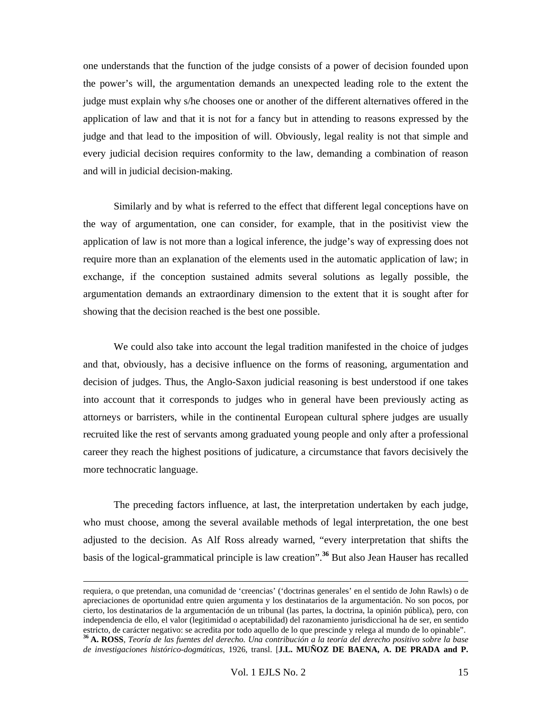one understands that the function of the judge consists of a power of decision founded upon the power's will, the argumentation demands an unexpected leading role to the extent the judge must explain why s/he chooses one or another of the different alternatives offered in the application of law and that it is not for a fancy but in attending to reasons expressed by the judge and that lead to the imposition of will. Obviously, legal reality is not that simple and every judicial decision requires conformity to the law, demanding a combination of reason and will in judicial decision-making.

Similarly and by what is referred to the effect that different legal conceptions have on the way of argumentation, one can consider, for example, that in the positivist view the application of law is not more than a logical inference, the judge's way of expressing does not require more than an explanation of the elements used in the automatic application of law; in exchange, if the conception sustained admits several solutions as legally possible, the argumentation demands an extraordinary dimension to the extent that it is sought after for showing that the decision reached is the best one possible.

We could also take into account the legal tradition manifested in the choice of judges and that, obviously, has a decisive influence on the forms of reasoning, argumentation and decision of judges. Thus, the Anglo-Saxon judicial reasoning is best understood if one takes into account that it corresponds to judges who in general have been previously acting as attorneys or barristers, while in the continental European cultural sphere judges are usually recruited like the rest of servants among graduated young people and only after a professional career they reach the highest positions of judicature, a circumstance that favors decisively the more technocratic language.

The preceding factors influence, at last, the interpretation undertaken by each judge, who must choose, among the several available methods of legal interpretation, the one best adjusted to the decision. As Alf Ross already warned, "every interpretation that shifts the basis of the logical-grammatical principle is law creation".**<sup>36</sup>** But also Jean Hauser has recalled

requiera, o que pretendan, una comunidad de 'creencias' ('doctrinas generales' en el sentido de John Rawls) o de apreciaciones de oportunidad entre quien argumenta y los destinatarios de la argumentación. No son pocos, por cierto, los destinatarios de la argumentación de un tribunal (las partes, la doctrina, la opinión pública), pero, con independencia de ello, el valor (legitimidad o aceptabilidad) del razonamiento jurisdiccional ha de ser, en sentido estricto, de carácter negativo: se acredita por todo aquello de lo que prescinde y relega al mundo de lo opinable".

**<sup>36</sup> A. ROSS**, *Teoría de las fuentes del derecho. Una contribución a la teoría del derecho positivo sobre la base de investigaciones histórico-dogmáticas*, 1926, transl. [**J.L. MUÑOZ DE BAENA, A. DE PRADA and P.**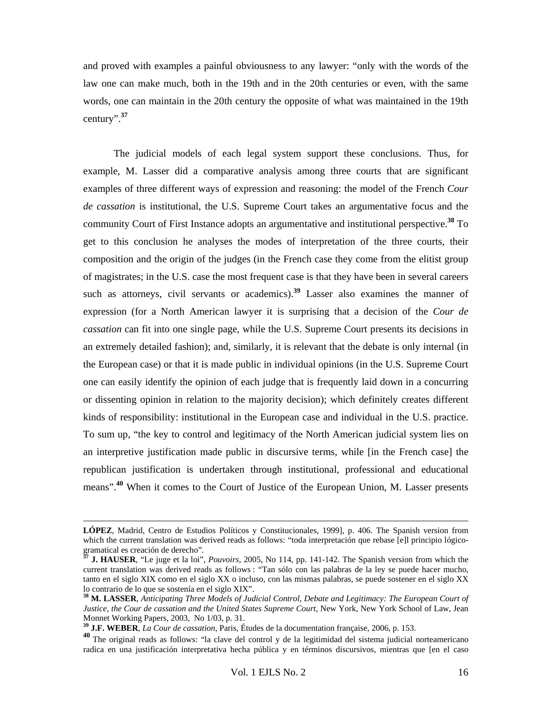and proved with examples a painful obviousness to any lawyer: "only with the words of the law one can make much, both in the 19th and in the 20th centuries or even, with the same words, one can maintain in the 20th century the opposite of what was maintained in the 19th century".**<sup>37</sup>**

The judicial models of each legal system support these conclusions. Thus, for example, M. Lasser did a comparative analysis among three courts that are significant examples of three different ways of expression and reasoning: the model of the French *Cour de cassation* is institutional, the U.S. Supreme Court takes an argumentative focus and the community Court of First Instance adopts an argumentative and institutional perspective.**<sup>38</sup>** To get to this conclusion he analyses the modes of interpretation of the three courts, their composition and the origin of the judges (in the French case they come from the elitist group of magistrates; in the U.S. case the most frequent case is that they have been in several careers such as attorneys, civil servants or academics).**<sup>39</sup>** Lasser also examines the manner of expression (for a North American lawyer it is surprising that a decision of the *Cour de cassation* can fit into one single page, while the U.S. Supreme Court presents its decisions in an extremely detailed fashion); and, similarly, it is relevant that the debate is only internal (in the European case) or that it is made public in individual opinions (in the U.S. Supreme Court one can easily identify the opinion of each judge that is frequently laid down in a concurring or dissenting opinion in relation to the majority decision); which definitely creates different kinds of responsibility: institutional in the European case and individual in the U.S. practice. To sum up, "the key to control and legitimacy of the North American judicial system lies on an interpretive justification made public in discursive terms, while [in the French case] the republican justification is undertaken through institutional, professional and educational means".**<sup>40</sup>** When it comes to the Court of Justice of the European Union, M. Lasser presents

**LÓPEZ**, Madrid, Centro de Estudios Políticos y Constitucionales, 1999], p. 406. The Spanish version from which the current translation was derived reads as follows: "toda interpretación que rebase [e]l principio lógicogramatical es creación de derecho".

**<sup>37</sup> J. HAUSER**, "Le juge et la loi", *Pouvoirs,* 2005, No 114, pp. 141-142. The Spanish version from which the current translation was derived reads as follows : "Tan sólo con las palabras de la ley se puede hacer mucho, tanto en el siglo XIX como en el siglo XX o incluso, con las mismas palabras, se puede sostener en el siglo XX lo contrario de lo que se sostenía en el siglo XIX".

**<sup>38</sup> M. LASSER**, *Anticipating Three Models of Judicial Control, Debate and Legitimacy: The European Court of Justice, the Cour de cassation and the United States Supreme Court*, New York, New York School of Law, Jean Monnet Working Papers, 2003, No 1/03, p. 31.

**<sup>39</sup> J.F. WEBER**, *La Cour de cassation*, Paris, Études de la documentation française, 2006, p. 153.

**<sup>40</sup>**The original reads as follows: "la clave del control y de la legitimidad del sistema judicial norteamericano radica en una justificación interpretativa hecha pública y en términos discursivos, mientras que [en el caso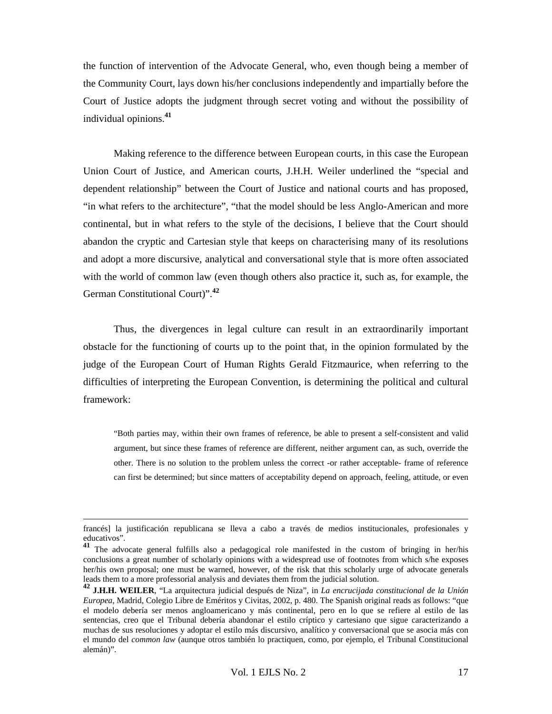the function of intervention of the Advocate General, who, even though being a member of the Community Court, lays down his/her conclusions independently and impartially before the Court of Justice adopts the judgment through secret voting and without the possibility of individual opinions.**<sup>41</sup>**

Making reference to the difference between European courts, in this case the European Union Court of Justice, and American courts, J.H.H. Weiler underlined the "special and dependent relationship" between the Court of Justice and national courts and has proposed, "in what refers to the architecture", "that the model should be less Anglo-American and more continental, but in what refers to the style of the decisions, I believe that the Court should abandon the cryptic and Cartesian style that keeps on characterising many of its resolutions and adopt a more discursive, analytical and conversational style that is more often associated with the world of common law (even though others also practice it, such as, for example, the German Constitutional Court)".**<sup>42</sup>**

Thus, the divergences in legal culture can result in an extraordinarily important obstacle for the functioning of courts up to the point that, in the opinion formulated by the judge of the European Court of Human Rights Gerald Fitzmaurice, when referring to the difficulties of interpreting the European Convention, is determining the political and cultural framework:

"Both parties may, within their own frames of reference, be able to present a self-consistent and valid argument, but since these frames of reference are different, neither argument can, as such, override the other. There is no solution to the problem unless the correct -or rather acceptable- frame of reference can first be determined; but since matters of acceptability depend on approach, feeling, attitude, or even

francés] la justificación republicana se lleva a cabo a través de medios institucionales, profesionales y educativos".

**<sup>41</sup>** The advocate general fulfills also a pedagogical role manifested in the custom of bringing in her/his conclusions a great number of scholarly opinions with a widespread use of footnotes from which s/he exposes her/his own proposal; one must be warned, however, of the risk that this scholarly urge of advocate generals leads them to a more professorial analysis and deviates them from the judicial solution.

**<sup>42</sup> J.H.H. WEILER**, "La arquitectura judicial después de Niza", in *La encrucijada constitucional de la Unión Europea*, Madrid, Colegio Libre de Eméritos y Civitas, 2002, p. 480. The Spanish original reads as follows: "que el modelo debería ser menos angloamericano y más continental, pero en lo que se refiere al estilo de las sentencias, creo que el Tribunal debería abandonar el estilo críptico y cartesiano que sigue caracterizando a muchas de sus resoluciones y adoptar el estilo más discursivo, analítico y conversacional que se asocia más con el mundo del *common law* (aunque otros también lo practiquen, como, por ejemplo, el Tribunal Constitucional alemán)".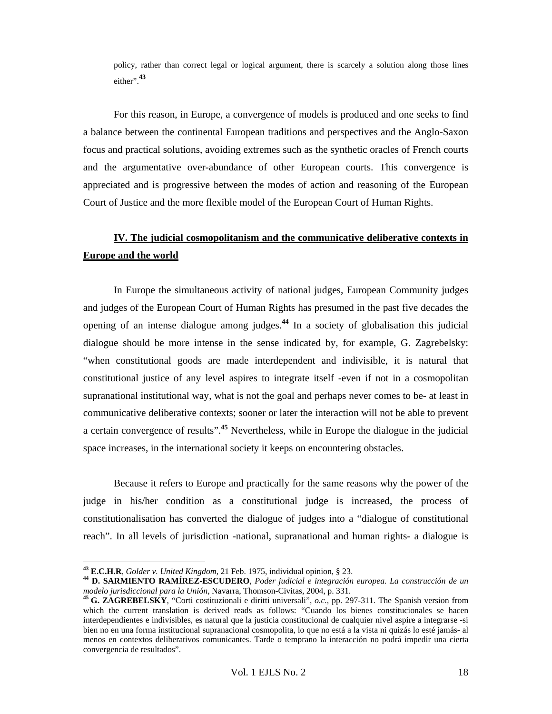policy, rather than correct legal or logical argument, there is scarcely a solution along those lines either".**<sup>43</sup>**

For this reason, in Europe, a convergence of models is produced and one seeks to find a balance between the continental European traditions and perspectives and the Anglo-Saxon focus and practical solutions, avoiding extremes such as the synthetic oracles of French courts and the argumentative over-abundance of other European courts. This convergence is appreciated and is progressive between the modes of action and reasoning of the European Court of Justice and the more flexible model of the European Court of Human Rights.

## **IV. The judicial cosmopolitanism and the communicative deliberative contexts in Europe and the world**

In Europe the simultaneous activity of national judges, European Community judges and judges of the European Court of Human Rights has presumed in the past five decades the opening of an intense dialogue among judges.**<sup>44</sup>** In a society of globalisation this judicial dialogue should be more intense in the sense indicated by, for example, G. Zagrebelsky: "when constitutional goods are made interdependent and indivisible, it is natural that constitutional justice of any level aspires to integrate itself -even if not in a cosmopolitan supranational institutional way, what is not the goal and perhaps never comes to be- at least in communicative deliberative contexts; sooner or later the interaction will not be able to prevent a certain convergence of results".**<sup>45</sup>** Nevertheless, while in Europe the dialogue in the judicial space increases, in the international society it keeps on encountering obstacles.

Because it refers to Europe and practically for the same reasons why the power of the judge in his/her condition as a constitutional judge is increased, the process of constitutionalisation has converted the dialogue of judges into a "dialogue of constitutional reach". In all levels of jurisdiction -national, supranational and human rights- a dialogue is

**<sup>43</sup> E.C.H.R**, *Golder v. United Kingdom,* 21 Feb. 1975, individual opinion, § 23. **<sup>44</sup> D. SARMIENTO RAMÍREZ-ESCUDERO**, *Poder judicial e integración europea. La construcción de un* 

<sup>&</sup>lt;sup>45</sup> G. ZAGREBELSKY, "Corti costituzionali e diritti universali", *o.c.*, pp. 297-311. The Spanish version from which the current translation is derived reads as follows: "Cuando los bienes constitucionales se hacen interdependientes e indivisibles, es natural que la justicia constitucional de cualquier nivel aspire a integrarse -si bien no en una forma institucional supranacional cosmopolita, lo que no está a la vista ni quizás lo esté jamás- al menos en contextos deliberativos comunicantes. Tarde o temprano la interacción no podrá impedir una cierta convergencia de resultados".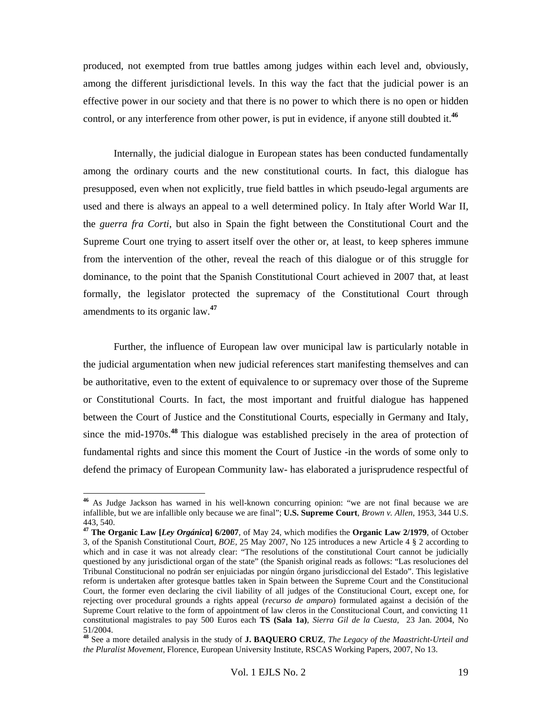produced, not exempted from true battles among judges within each level and, obviously, among the different jurisdictional levels. In this way the fact that the judicial power is an effective power in our society and that there is no power to which there is no open or hidden control, or any interference from other power, is put in evidence, if anyone still doubted it.**<sup>46</sup>**

Internally, the judicial dialogue in European states has been conducted fundamentally among the ordinary courts and the new constitutional courts. In fact, this dialogue has presupposed, even when not explicitly, true field battles in which pseudo-legal arguments are used and there is always an appeal to a well determined policy. In Italy after World War II, the *guerra fra Corti*, but also in Spain the fight between the Constitutional Court and the Supreme Court one trying to assert itself over the other or, at least, to keep spheres immune from the intervention of the other, reveal the reach of this dialogue or of this struggle for dominance, to the point that the Spanish Constitutional Court achieved in 2007 that, at least formally, the legislator protected the supremacy of the Constitutional Court through amendments to its organic law.**<sup>47</sup>**

Further, the influence of European law over municipal law is particularly notable in the judicial argumentation when new judicial references start manifesting themselves and can be authoritative, even to the extent of equivalence to or supremacy over those of the Supreme or Constitutional Courts. In fact, the most important and fruitful dialogue has happened between the Court of Justice and the Constitutional Courts, especially in Germany and Italy, since the mid-1970s.**<sup>48</sup>**This dialogue was established precisely in the area of protection of fundamental rights and since this moment the Court of Justice -in the words of some only to defend the primacy of European Community law- has elaborated a jurisprudence respectful of

**<sup>46</sup>** As Judge Jackson has warned in his well-known concurring opinion: "we are not final because we are infallible, but we are infallible only because we are final"; **U.S. Supreme Court**, *Brown v. Allen*, 1953, 344 U.S. 443, 540.

**<sup>47</sup> The Organic Law [***Ley Orgánica***] 6/2007**, of May 24, which modifies the **Organic Law 2/1979**, of October 3, of the Spanish Constitutional Court, *BOE,* 25 May 2007, No 125 introduces a new Article 4 § 2 according to which and in case it was not already clear: "The resolutions of the constitutional Court cannot be judicially questioned by any jurisdictional organ of the state" (the Spanish original reads as follows: "Las resoluciones del Tribunal Constitucional no podrán ser enjuiciadas por ningún órgano jurisdiccional del Estado". This legislative reform is undertaken after grotesque battles taken in Spain between the Supreme Court and the Constitucional Court, the former even declaring the civil liability of all judges of the Constitucional Court, except one, for rejecting over procedural grounds a rights appeal (*recurso de amparo*) formulated against a decisión of the Supreme Court relative to the form of appointment of law cleros in the Constitucional Court, and convicting 11 constitutional magistrales to pay 500 Euros each **TS (Sala 1a)**, *Sierra Gil de la Cuesta*, 23 Jan. 2004, No 51/2004.

**<sup>48</sup>** See a more detailed analysis in the study of **J. BAQUERO CRUZ**, *The Legacy of the Maastricht-Urteil and the Pluralist Movement*, Florence, European University Institute, RSCAS Working Papers, 2007, No 13.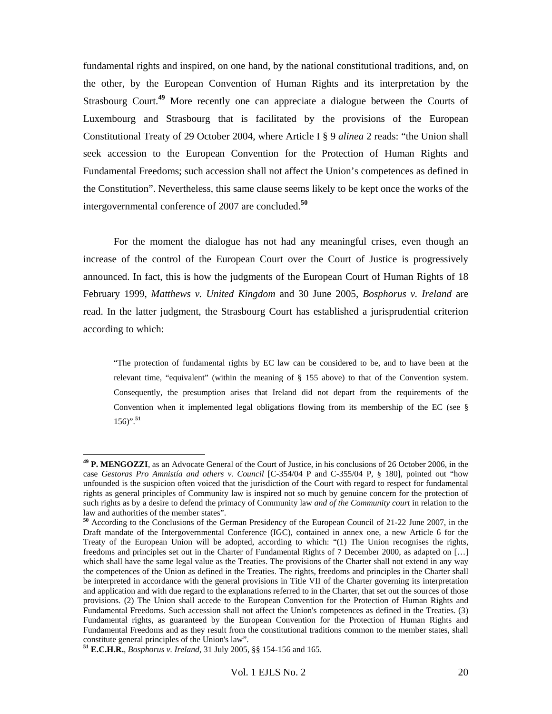fundamental rights and inspired, on one hand, by the national constitutional traditions, and, on the other, by the European Convention of Human Rights and its interpretation by the Strasbourg Court.**<sup>49</sup>** More recently one can appreciate a dialogue between the Courts of Luxembourg and Strasbourg that is facilitated by the provisions of the European Constitutional Treaty of 29 October 2004, where Article I § 9 *alinea* 2 reads: "the Union shall seek accession to the European Convention for the Protection of Human Rights and Fundamental Freedoms; such accession shall not affect the Union's competences as defined in the Constitution". Nevertheless, this same clause seems likely to be kept once the works of the intergovernmental conference of 2007 are concluded.**<sup>50</sup>**

For the moment the dialogue has not had any meaningful crises, even though an increase of the control of the European Court over the Court of Justice is progressively announced. In fact, this is how the judgments of the European Court of Human Rights of 18 February 1999, *Matthews v. United Kingdom* and 30 June 2005, *Bosphorus v. Ireland* are read. In the latter judgment, the Strasbourg Court has established a jurisprudential criterion according to which:

"The protection of fundamental rights by EC law can be considered to be, and to have been at the relevant time, "equivalent" (within the meaning of § 155 above) to that of the Convention system. Consequently, the presumption arises that Ireland did not depart from the requirements of the Convention when it implemented legal obligations flowing from its membership of the EC (see § 156)".**<sup>51</sup>**

 $\overline{a}$ 

**<sup>49</sup> P. MENGOZZI**, as an Advocate General of the Court of Justice, in his conclusions of 26 October 2006, in the case *Gestoras Pro Amnistía and others v. Council* [C-354/04 P and C-355/04 P, § 180], pointed out "how unfounded is the suspicion often voiced that the jurisdiction of the Court with regard to respect for fundamental rights as general principles of Community law is inspired not so much by genuine concern for the protection of such rights as by a desire to defend the primacy of Community law *and of the Community court* in relation to the law and authorities of the member states".

**<sup>50</sup>** According to the Conclusions of the German Presidency of the European Council of 21-22 June 2007, in the Draft mandate of the Intergovernmental Conference (IGC), contained in annex one, a new Article 6 for the Treaty of the European Union will be adopted, according to which: "(1) The Union recognises the rights, freedoms and principles set out in the Charter of Fundamental Rights of 7 December 2000, as adapted on […] which shall have the same legal value as the Treaties. The provisions of the Charter shall not extend in any way the competences of the Union as defined in the Treaties. The rights, freedoms and principles in the Charter shall be interpreted in accordance with the general provisions in Title VII of the Charter governing its interpretation and application and with due regard to the explanations referred to in the Charter, that set out the sources of those provisions. (2) The Union shall accede to the European Convention for the Protection of Human Rights and Fundamental Freedoms. Such accession shall not affect the Union's competences as defined in the Treaties. (3) Fundamental rights, as guaranteed by the European Convention for the Protection of Human Rights and Fundamental Freedoms and as they result from the constitutional traditions common to the member states, shall constitute general principles of the Union's law".

**<sup>51</sup> E.C.H.R.**, *Bosphorus v. Ireland,* 31 July 2005, §§ 154-156 and 165.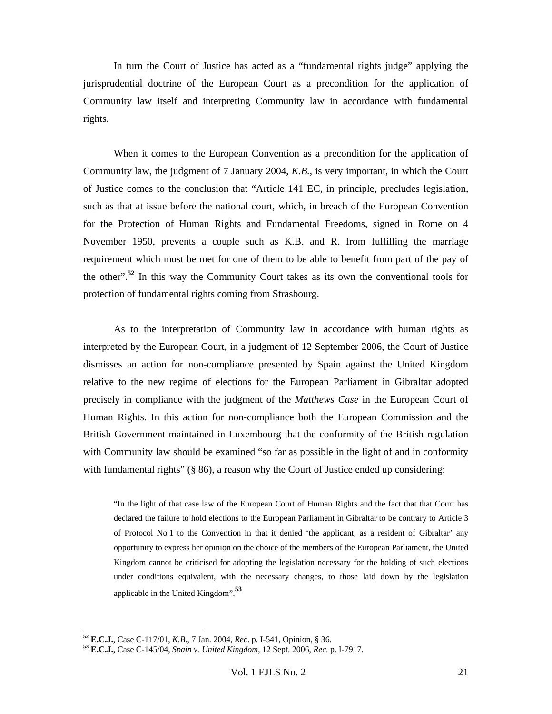In turn the Court of Justice has acted as a "fundamental rights judge" applying the jurisprudential doctrine of the European Court as a precondition for the application of Community law itself and interpreting Community law in accordance with fundamental rights.

When it comes to the European Convention as a precondition for the application of Community law, the judgment of 7 January 2004, *K.B.*, is very important, in which the Court of Justice comes to the conclusion that "Article 141 EC, in principle, precludes legislation, such as that at issue before the national court, which, in breach of the European Convention for the Protection of Human Rights and Fundamental Freedoms, signed in Rome on 4 November 1950, prevents a couple such as K.B. and R. from fulfilling the marriage requirement which must be met for one of them to be able to benefit from part of the pay of the other".**<sup>52</sup>** In this way the Community Court takes as its own the conventional tools for protection of fundamental rights coming from Strasbourg.

As to the interpretation of Community law in accordance with human rights as interpreted by the European Court, in a judgment of 12 September 2006, the Court of Justice dismisses an action for non-compliance presented by Spain against the United Kingdom relative to the new regime of elections for the European Parliament in Gibraltar adopted precisely in compliance with the judgment of the *Matthews Case* in the European Court of Human Rights. In this action for non-compliance both the European Commission and the British Government maintained in Luxembourg that the conformity of the British regulation with Community law should be examined "so far as possible in the light of and in conformity with fundamental rights" (§ 86), a reason why the Court of Justice ended up considering:

"In the light of that case law of the European Court of Human Rights and the fact that that Court has declared the failure to hold elections to the European Parliament in Gibraltar to be contrary to Article 3 of Protocol No 1 to the Convention in that it denied 'the applicant, as a resident of Gibraltar' any opportunity to express her opinion on the choice of the members of the European Parliament, the United Kingdom cannot be criticised for adopting the legislation necessary for the holding of such elections under conditions equivalent, with the necessary changes, to those laid down by the legislation applicable in the United Kingdom".**<sup>53</sup>**

**<sup>52</sup> E.C.J.**, Case C-117/01, *K.B*., 7 Jan. 2004, *Rec*. p. I-541, Opinion, § 36. **<sup>53</sup> E.C.J.**, Case C-145/04, *Spain v. United Kingdom*, 12 Sept. 2006, *Rec*. p. I-7917.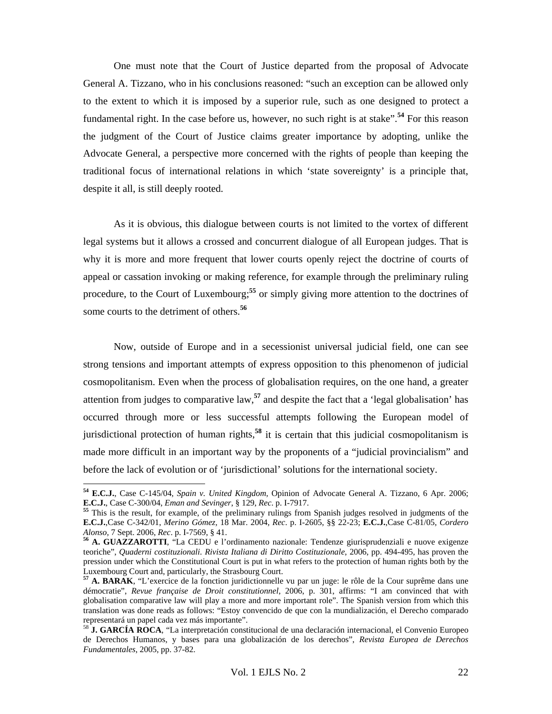One must note that the Court of Justice departed from the proposal of Advocate General A. Tizzano, who in his conclusions reasoned: "such an exception can be allowed only to the extent to which it is imposed by a superior rule, such as one designed to protect a fundamental right. In the case before us, however, no such right is at stake".**<sup>54</sup>** For this reason the judgment of the Court of Justice claims greater importance by adopting, unlike the Advocate General, a perspective more concerned with the rights of people than keeping the traditional focus of international relations in which 'state sovereignty' is a principle that, despite it all, is still deeply rooted.

As it is obvious, this dialogue between courts is not limited to the vortex of different legal systems but it allows a crossed and concurrent dialogue of all European judges. That is why it is more and more frequent that lower courts openly reject the doctrine of courts of appeal or cassation invoking or making reference, for example through the preliminary ruling procedure, to the Court of Luxembourg;**<sup>55</sup>** or simply giving more attention to the doctrines of some courts to the detriment of others.**<sup>56</sup>**

Now, outside of Europe and in a secessionist universal judicial field, one can see strong tensions and important attempts of express opposition to this phenomenon of judicial cosmopolitanism. Even when the process of globalisation requires, on the one hand, a greater attention from judges to comparative law,**<sup>57</sup>** and despite the fact that a 'legal globalisation' has occurred through more or less successful attempts following the European model of jurisdictional protection of human rights,**<sup>58</sup>** it is certain that this judicial cosmopolitanism is made more difficult in an important way by the proponents of a "judicial provincialism" and before the lack of evolution or of 'jurisdictional' solutions for the international society.

**<sup>54</sup> E.C.J.**, Case C-145/04, *Spain v. United Kingdom,* Opinion of Advocate General A. Tizzano, 6 Apr. 2006; **E.C.J.**, Case C-300/04, *Eman and Sevinger*, § 129, *Rec*. p. I-7917. **<sup>55</sup>** This is the result, for example, of the preliminary rulings from Spanish judges resolved in judgments of the

**E.C.J.**,Case C-342/01, *Merino Gómez,* 18 Mar. 2004, *Rec*. p. I-2605, §§ 22-23; **E.C.J.**,Case C-81/05, *Cordero Alonso,* 7 Sept. 2006, *Rec*. p. I-7569, § 41. **<sup>56</sup> A. GUAZZAROTTI**, "La CEDU e l'ordinamento nazionale: Tendenze giurisprudenziali e nuove exigenze

teoriche", *Quaderni costituzionali. Rivista Italiana di Diritto Costituzionale*, 2006, pp. 494-495, has proven the pression under which the Constitutional Court is put in what refers to the protection of human rights both by the Luxembourg Court and, particularly, the Strasbourg Court.

**<sup>57</sup> A. BARAK**, "L'exercice de la fonction juridictionnelle vu par un juge: le rôle de la Cour suprême dans une démocratie", *Revue française de Droit constitutionnel*, 2006, p. 301, affirms: "I am convinced that with globalisation comparative law will play a more and more important role". The Spanish version from which this translation was done reads as follows: "Estoy convencido de que con la mundialización, el Derecho comparado representará un papel cada vez más importante".

<sup>&</sup>lt;sup>58</sup> **J. GARCÍA ROCA**, "La interpretación constitucional de una declaración internacional, el Convenio Europeo de Derechos Humanos, y bases para una globalización de los derechos", *Revista Europea de Derechos Fundamentales*, 2005, pp. 37-82.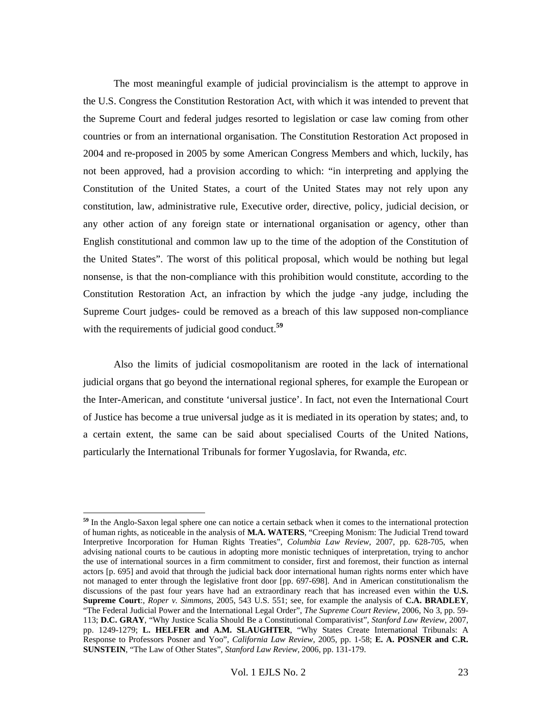The most meaningful example of judicial provincialism is the attempt to approve in the U.S. Congress the Constitution Restoration Act, with which it was intended to prevent that the Supreme Court and federal judges resorted to legislation or case law coming from other countries or from an international organisation. The Constitution Restoration Act proposed in 2004 and re-proposed in 2005 by some American Congress Members and which, luckily, has not been approved, had a provision according to which: "in interpreting and applying the Constitution of the United States, a court of the United States may not rely upon any constitution, law, administrative rule, Executive order, directive, policy, judicial decision, or any other action of any foreign state or international organisation or agency, other than English constitutional and common law up to the time of the adoption of the Constitution of the United States". The worst of this political proposal, which would be nothing but legal nonsense, is that the non-compliance with this prohibition would constitute, according to the Constitution Restoration Act, an infraction by which the judge -any judge, including the Supreme Court judges- could be removed as a breach of this law supposed non-compliance with the requirements of judicial good conduct.<sup>59</sup>

Also the limits of judicial cosmopolitanism are rooted in the lack of international judicial organs that go beyond the international regional spheres, for example the European or the Inter-American, and constitute 'universal justice'. In fact, not even the International Court of Justice has become a true universal judge as it is mediated in its operation by states; and, to a certain extent, the same can be said about specialised Courts of the United Nations, particularly the International Tribunals for former Yugoslavia, for Rwanda, *etc.*

**<sup>59</sup>** In the Anglo-Saxon legal sphere one can notice a certain setback when it comes to the international protection of human rights, as noticeable in the analysis of **M.A. WATERS**, "Creeping Monism: The Judicial Trend toward Interpretive Incorporation for Human Rights Treaties", *Columbia Law Review*, 2007, pp. 628-705, when advising national courts to be cautious in adopting more monistic techniques of interpretation, trying to anchor the use of international sources in a firm commitment to consider, first and foremost, their function as internal actors [p. 695] and avoid that through the judicial back door international human rights norms enter which have not managed to enter through the legislative front door [pp. 697-698]. And in American constitutionalism the discussions of the past four years have had an extraordinary reach that has increased even within the **U.S. Supreme Court**:, *Roper v. Simmons*, 2005, 543 U.S. 551; see, for example the analysis of **C.A. BRADLEY**, "The Federal Judicial Power and the International Legal Order", *The Supreme Court Review*, 2006, No 3, pp. 59- 113; **D.C. GRAY**, "Why Justice Scalia Should Be a Constitutional Comparativist", *Stanford Law Review,* 2007, pp. 1249-1279; **L. HELFER and A.M. SLAUGHTER**, "Why States Create International Tribunals: A Response to Professors Posner and Yoo", *California Law Review,* 2005, pp. 1-58; **E. A. POSNER and C.R. SUNSTEIN**, "The Law of Other States", *Stanford Law Review,* 2006, pp. 131-179.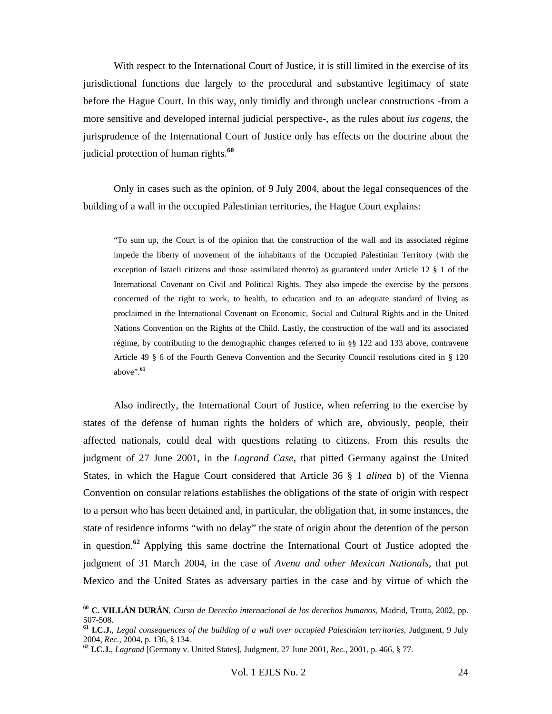With respect to the International Court of Justice, it is still limited in the exercise of its jurisdictional functions due largely to the procedural and substantive legitimacy of state before the Hague Court. In this way, only timidly and through unclear constructions -from a more sensitive and developed internal judicial perspective-, as the rules about *ius cogens*, the jurisprudence of the International Court of Justice only has effects on the doctrine about the judicial protection of human rights.**<sup>60</sup>**

Only in cases such as the opinion, of 9 July 2004, about the legal consequences of the building of a wall in the occupied Palestinian territories, the Hague Court explains:

"To sum up, the Court is of the opinion that the construction of the wall and its associated régime impede the liberty of movement of the inhabitants of the Occupied Palestinian Territory (with the exception of Israeli citizens and those assimilated thereto) as guaranteed under Article 12 § 1 of the International Covenant on Civil and Political Rights. They also impede the exercise by the persons concerned of the right to work, to health, to education and to an adequate standard of living as proclaimed in the International Covenant on Economic, Social and Cultural Rights and in the United Nations Convention on the Rights of the Child. Lastly, the construction of the wall and its associated régime, by contributing to the demographic changes referred to in §§ 122 and 133 above, contravene Article 49 § 6 of the Fourth Geneva Convention and the Security Council resolutions cited in § 120 above".**<sup>61</sup>**

Also indirectly, the International Court of Justice, when referring to the exercise by states of the defense of human rights the holders of which are, obviously, people, their affected nationals, could deal with questions relating to citizens. From this results the judgment of 27 June 2001, in the *Lagrand Case*, that pitted Germany against the United States, in which the Hague Court considered that Article 36 § 1 *alinea* b) of the Vienna Convention on consular relations establishes the obligations of the state of origin with respect to a person who has been detained and, in particular, the obligation that, in some instances, the state of residence informs "with no delay" the state of origin about the detention of the person in question.**<sup>62</sup>**Applying this same doctrine the International Court of Justice adopted the judgment of 31 March 2004, in the case of *Avena and other Mexican Nationals*, that put Mexico and the United States as adversary parties in the case and by virtue of which the

 $\overline{a}$ 

**<sup>60</sup> C. VILLÁN DURÁN**, *Curso de Derecho internacional de los derechos humanos*, Madrid, Trotta, 2002, pp. 507-508.

**<sup>61</sup> I.C.J.**, *Legal consequences of the building of a wall over occupied Palestinian territories*, Judgment, 9 July

<sup>2004,</sup> *Rec.*, 2004, p. 136, § 134. **<sup>62</sup> I.C.J.**, *Lagrand* [Germany v. United States], Judgment, 27 June 2001, *Rec.*, 2001, p. 466, § 77.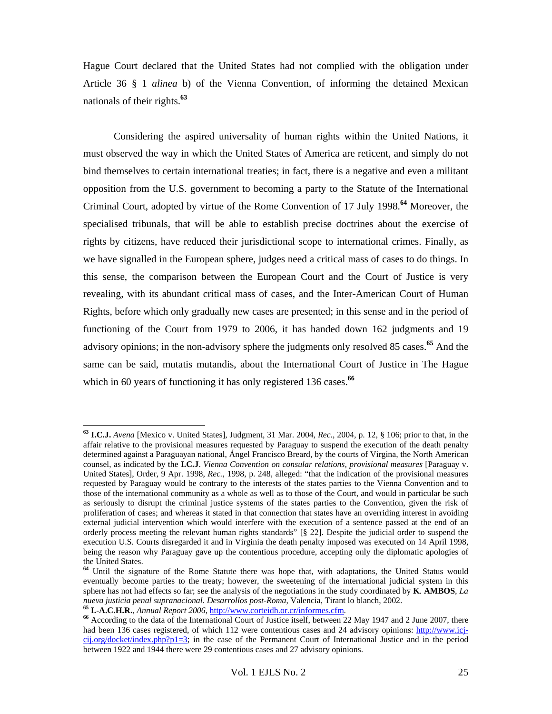Hague Court declared that the United States had not complied with the obligation under Article 36 § 1 *alinea* b) of the Vienna Convention, of informing the detained Mexican nationals of their rights.**<sup>63</sup>**

Considering the aspired universality of human rights within the United Nations, it must observed the way in which the United States of America are reticent, and simply do not bind themselves to certain international treaties; in fact, there is a negative and even a militant opposition from the U.S. government to becoming a party to the Statute of the International Criminal Court, adopted by virtue of the Rome Convention of 17 July 1998.**<sup>64</sup>** Moreover, the specialised tribunals, that will be able to establish precise doctrines about the exercise of rights by citizens, have reduced their jurisdictional scope to international crimes. Finally, as we have signalled in the European sphere, judges need a critical mass of cases to do things. In this sense, the comparison between the European Court and the Court of Justice is very revealing, with its abundant critical mass of cases, and the Inter-American Court of Human Rights, before which only gradually new cases are presented; in this sense and in the period of functioning of the Court from 1979 to 2006, it has handed down 162 judgments and 19 advisory opinions; in the non-advisory sphere the judgments only resolved 85 cases.**<sup>65</sup>** And the same can be said, mutatis mutandis, about the International Court of Justice in The Hague which in 60 years of functioning it has only registered 136 cases.<sup>66</sup>

**<sup>63</sup> I.C.J.** *Avena* [Mexico v. United States], Judgment, 31 Mar. 2004, *Rec.*, 2004, p. 12, § 106; prior to that, in the affair relative to the provisional measures requested by Paraguay to suspend the execution of the death penalty determined against a Paraguayan national, Ángel Francisco Breard, by the courts of Virgina, the North American counsel, as indicated by the **I.C.J**. *Vienna Convention on consular relations, provisional measures* [Paraguay v. United States], Order, 9 Apr. 1998, *Rec.*, 1998, p. 248, alleged: "that the indication of the provisional measures requested by Paraguay would be contrary to the interests of the states parties to the Vienna Convention and to those of the international community as a whole as well as to those of the Court, and would in particular be such as seriously to disrupt the criminal justice systems of the states parties to the Convention, given the risk of proliferation of cases; and whereas it stated in that connection that states have an overriding interest in avoiding external judicial intervention which would interfere with the execution of a sentence passed at the end of an orderly process meeting the relevant human rights standards" [§ 22]. Despite the judicial order to suspend the execution U.S. Courts disregarded it and in Virginia the death penalty imposed was executed on 14 April 1998, being the reason why Paraguay gave up the contentious procedure, accepting only the diplomatic apologies of the United States.

**<sup>64</sup>** Until the signature of the Rome Statute there was hope that, with adaptations, the United Status would eventually become parties to the treaty; however, the sweetening of the international judicial system in this sphere has not had effects so far; see the analysis of the negotiations in the study coordinated by **K**. **AMBOS**, *La*  nueva justicia penal supranacional. Desarrollos post-Roma, Valencia, Tirant lo blanch, 2002.<br>
<sup>65</sup> **I.-A.C.H.R.**, *Annual Report 2006*, *http://www.corteidh.or.cr/informes.cfm.*<br>
<sup>66</sup> According to the data of the Internati

had been 136 cases registered, of which 112 were contentious cases and 24 advisory opinions: http://www.icjcij.org/docket/index.php?p1=3; in the case of the Permanent Court of International Justice and in the period between 1922 and 1944 there were 29 contentious cases and 27 advisory opinions.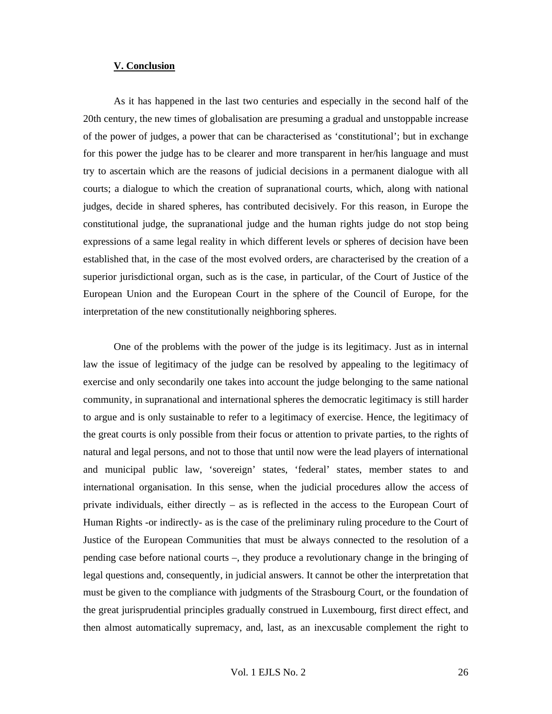#### **V. Conclusion**

As it has happened in the last two centuries and especially in the second half of the 20th century, the new times of globalisation are presuming a gradual and unstoppable increase of the power of judges, a power that can be characterised as 'constitutional'; but in exchange for this power the judge has to be clearer and more transparent in her/his language and must try to ascertain which are the reasons of judicial decisions in a permanent dialogue with all courts; a dialogue to which the creation of supranational courts, which, along with national judges, decide in shared spheres, has contributed decisively. For this reason, in Europe the constitutional judge, the supranational judge and the human rights judge do not stop being expressions of a same legal reality in which different levels or spheres of decision have been established that, in the case of the most evolved orders, are characterised by the creation of a superior jurisdictional organ, such as is the case, in particular, of the Court of Justice of the European Union and the European Court in the sphere of the Council of Europe, for the interpretation of the new constitutionally neighboring spheres.

One of the problems with the power of the judge is its legitimacy. Just as in internal law the issue of legitimacy of the judge can be resolved by appealing to the legitimacy of exercise and only secondarily one takes into account the judge belonging to the same national community, in supranational and international spheres the democratic legitimacy is still harder to argue and is only sustainable to refer to a legitimacy of exercise. Hence, the legitimacy of the great courts is only possible from their focus or attention to private parties, to the rights of natural and legal persons, and not to those that until now were the lead players of international and municipal public law, 'sovereign' states, 'federal' states, member states to and international organisation. In this sense, when the judicial procedures allow the access of private individuals, either directly – as is reflected in the access to the European Court of Human Rights -or indirectly- as is the case of the preliminary ruling procedure to the Court of Justice of the European Communities that must be always connected to the resolution of a pending case before national courts –, they produce a revolutionary change in the bringing of legal questions and, consequently, in judicial answers. It cannot be other the interpretation that must be given to the compliance with judgments of the Strasbourg Court, or the foundation of the great jurisprudential principles gradually construed in Luxembourg, first direct effect, and then almost automatically supremacy, and, last, as an inexcusable complement the right to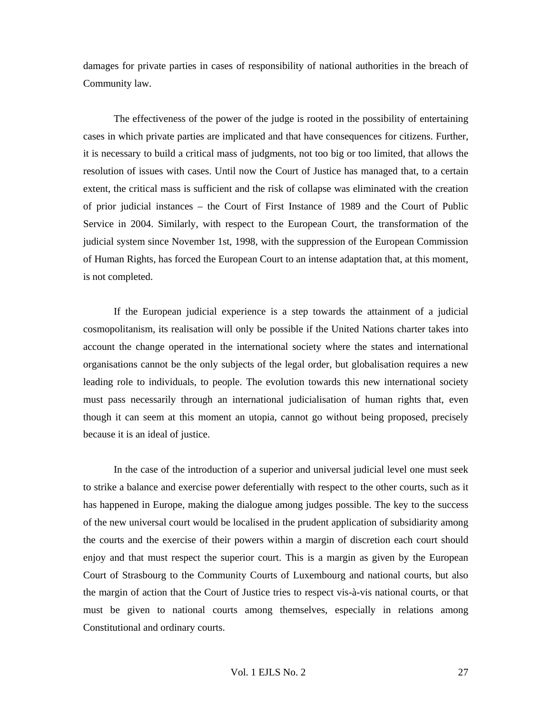damages for private parties in cases of responsibility of national authorities in the breach of Community law.

The effectiveness of the power of the judge is rooted in the possibility of entertaining cases in which private parties are implicated and that have consequences for citizens. Further, it is necessary to build a critical mass of judgments, not too big or too limited, that allows the resolution of issues with cases. Until now the Court of Justice has managed that, to a certain extent, the critical mass is sufficient and the risk of collapse was eliminated with the creation of prior judicial instances – the Court of First Instance of 1989 and the Court of Public Service in 2004. Similarly, with respect to the European Court, the transformation of the judicial system since November 1st, 1998, with the suppression of the European Commission of Human Rights, has forced the European Court to an intense adaptation that, at this moment, is not completed.

If the European judicial experience is a step towards the attainment of a judicial cosmopolitanism, its realisation will only be possible if the United Nations charter takes into account the change operated in the international society where the states and international organisations cannot be the only subjects of the legal order, but globalisation requires a new leading role to individuals, to people. The evolution towards this new international society must pass necessarily through an international judicialisation of human rights that, even though it can seem at this moment an utopia, cannot go without being proposed, precisely because it is an ideal of justice.

In the case of the introduction of a superior and universal judicial level one must seek to strike a balance and exercise power deferentially with respect to the other courts, such as it has happened in Europe, making the dialogue among judges possible. The key to the success of the new universal court would be localised in the prudent application of subsidiarity among the courts and the exercise of their powers within a margin of discretion each court should enjoy and that must respect the superior court. This is a margin as given by the European Court of Strasbourg to the Community Courts of Luxembourg and national courts, but also the margin of action that the Court of Justice tries to respect vis-à-vis national courts, or that must be given to national courts among themselves, especially in relations among Constitutional and ordinary courts.